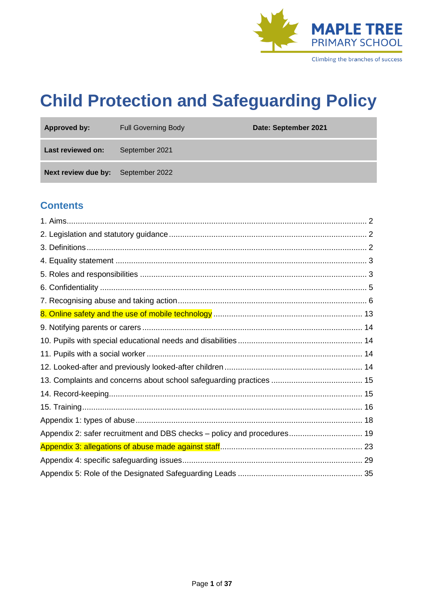

# **Child Protection and Safeguarding Policy**

| <b>Approved by:</b>                | <b>Full Governing Body</b> | Date: September 2021 |
|------------------------------------|----------------------------|----------------------|
| Last reviewed on:                  | September 2021             |                      |
| Next review due by: September 2022 |                            |                      |

# **Contents**

| Appendix 2: safer recruitment and DBS checks - policy and procedures 19 |  |
|-------------------------------------------------------------------------|--|
|                                                                         |  |
|                                                                         |  |
|                                                                         |  |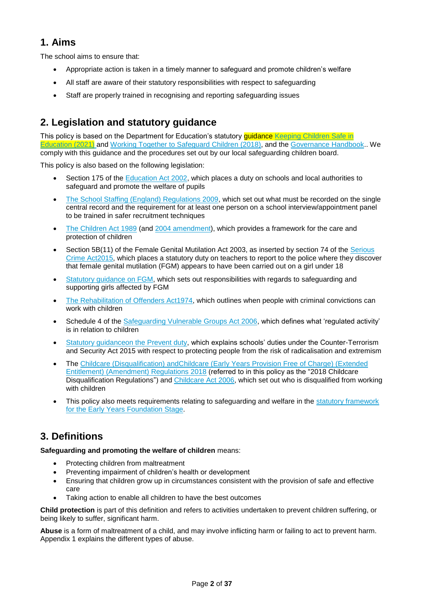# <span id="page-1-0"></span>**1. Aims**

The school aims to ensure that:

- Appropriate action is taken in a timely manner to safeguard and promote children's welfare
- All staff are aware of their statutory responsibilities with respect to safeguarding
- Staff are properly trained in recognising and reporting safeguarding issues

# <span id="page-1-1"></span>**2. Legislation and statutory guidance**

This policy is based on the Department for Education's statutory guidance Keeping Children Safe in [Education \(2021\)](https://www.gov.uk/government/publications/keeping-children-safe-in-education--2) and [Working Together to Safeguard Children \(2018\),](https://www.gov.uk/government/publications/working-together-to-safeguard-children--2) and the [Governance Handbook.](https://www.gov.uk/government/publications/governance-handbook). We comply with this guidance and the procedures set out by our local safeguarding children board.

This policy is also based on the following legislation:

- Section 175 of the [Education Act 2002,](http://www.legislation.gov.uk/ukpga/2002/32/section/175) which places a duty on schools and local authorities to safeguard and promote the welfare of pupils
- [The School Staffing \(England\) Regulations 2009,](http://www.legislation.gov.uk/uksi/2009/2680/contents/made) which set out what must be recorded on the single central record and the requirement for at least one person on a school interview/appointment panel to be trained in safer recruitment techniques
- [The Children Act 1989](http://www.legislation.gov.uk/ukpga/1989/41) (and [2004 amendment\)](http://www.legislation.gov.uk/ukpga/2004/31/contents), which provides a framework for the care and protection of children
- Section 5B(11) of the Female Genital Mutilation Act 2003, as inserted by section 74 of the [Serious](http://www.legislation.gov.uk/ukpga/2015/9/part/5/crossheading/female-genital-mutilation)  [Crime Act2015,](http://www.legislation.gov.uk/ukpga/2015/9/part/5/crossheading/female-genital-mutilation) which places a statutory duty on teachers to report to the police where they discover that female genital mutilation (FGM) appears to have been carried out on a girl under 18
- [Statutory guidance on FGM,](https://www.gov.uk/government/uploads/system/uploads/attachment_data/file/512906/Multi_Agency_Statutory_Guidance_on_FGM__-_FINAL.pdf) which sets out responsibilities with regards to safeguarding and supporting girls affected by FGM
- [The Rehabilitation of Offenders Act1974,](http://www.legislation.gov.uk/ukpga/1974/53) which outlines when people with criminal convictions can work with children
- Schedule 4 of the [Safeguarding Vulnerable Groups Act 2006,](http://www.legislation.gov.uk/ukpga/2006/47/schedule/4) which defines what 'regulated activity' is in relation to children
- [Statutory guidanceon the Prevent duty,](https://www.gov.uk/government/publications/prevent-duty-guidance) which explains schools' duties under the Counter-Terrorism and Security Act 2015 with respect to protecting people from the risk of radicalisation and extremism
- The Childcare (Disqualification) andChildcare (Early Years Provision Free of Charge) (Extended [Entitlement\) \(Amendment\) Regulations 2018](http://www.legislation.gov.uk/uksi/2018/794/contents/made) (referred to in this policy as the "2018 Childcare Disqualification Regulations") and [Childcare Act 2006,](http://www.legislation.gov.uk/ukpga/2006/21/contents) which set out who is disqualified from working with children
- This policy also meets requirements relating to safeguarding and welfare in the statutory framework [for the Early Years Foundation Stage.](https://www.gov.uk/government/publications/early-years-foundation-stage-framework--2)

# <span id="page-1-2"></span>**3. Definitions**

**Safeguarding and promoting the welfare of children** means:

- Protecting children from maltreatment
- Preventing impairment of children's health or development
- Ensuring that children grow up in circumstances consistent with the provision of safe and effective care
- Taking action to enable all children to have the best outcomes

**Child protection** is part of this definition and refers to activities undertaken to prevent children suffering, or being likely to suffer, significant harm.

**Abuse** is a form of maltreatment of a child, and may involve inflicting harm or failing to act to prevent harm. Appendix 1 explains the different types of abuse.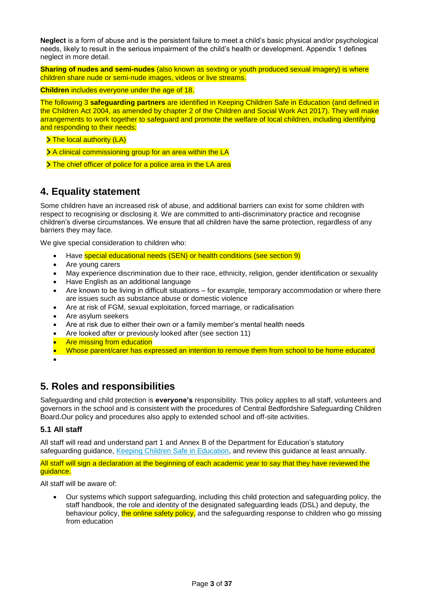**Neglect** is a form of abuse and is the persistent failure to meet a child's basic physical and/or psychological needs, likely to result in the serious impairment of the child's health or development. Appendix 1 defines neglect in more detail.

**Sharing of nudes and semi-nudes** (also known as sexting or youth produced sexual imagery) is where children share nude or semi-nude images, videos or live streams.

**Children** includes everyone under the age of 18.

The following 3 **safeguarding partners** are identified in Keeping Children Safe in Education (and defined in the Children Act 2004, as amended by chapter 2 of the Children and Social Work Act 2017). They will make arrangements to work together to safeguard and promote the welfare of local children, including identifying and responding to their needs:

- The local authority (LA)
- > A clinical commissioning group for an area within the LA
- The chief officer of police for a police area in the LA area

# <span id="page-2-0"></span>**4. Equality statement**

Some children have an increased risk of abuse, and additional barriers can exist for some children with respect to recognising or disclosing it. We are committed to anti-discriminatory practice and recognise children's diverse circumstances. We ensure that all children have the same protection, regardless of any barriers they may face.

We give special consideration to children who:

- Have special educational needs (SEN) or health conditions (see section 9)
- Are young carers
- May experience discrimination due to their race, ethnicity, religion, gender identification or sexuality
- Have English as an additional language
- Are known to be living in difficult situations for example, temporary accommodation or where there are issues such as substance abuse or domestic violence
- Are at risk of FGM, sexual exploitation, forced marriage, or radicalisation
- Are asylum seekers
- Are at risk due to either their own or a family member's mental health needs
- Are looked after or previously looked after (see section 11)
- Are missing from education
- Whose parent/carer has expressed an intention to remove them from school to be home educated
- <span id="page-2-1"></span> $\bullet$

# **5. Roles and responsibilities**

Safeguarding and child protection is **everyone's** responsibility. This policy applies to all staff, volunteers and governors in the school and is consistent with the procedures of Central Bedfordshire Safeguarding Children Board.Our policy and procedures also apply to extended school and off-site activities.

#### **5.1 All staff**

All staff will read and understand part 1 and Annex B of the Department for Education's statutory safeguarding guidance, [Keeping Children Safe in Education,](https://www.gov.uk/government/publications/keeping-children-safe-in-education--2) and review this guidance at least annually.

All staff will sign a declaration at the beginning of each academic year to say that they have reviewed the guidance.

All staff will be aware of:

 Our systems which support safeguarding, including this child protection and safeguarding policy, the staff handbook, the role and identity of the designated safeguarding leads (DSL) and deputy, the behaviour policy, the online safety policy, and the safeguarding response to children who go missing from education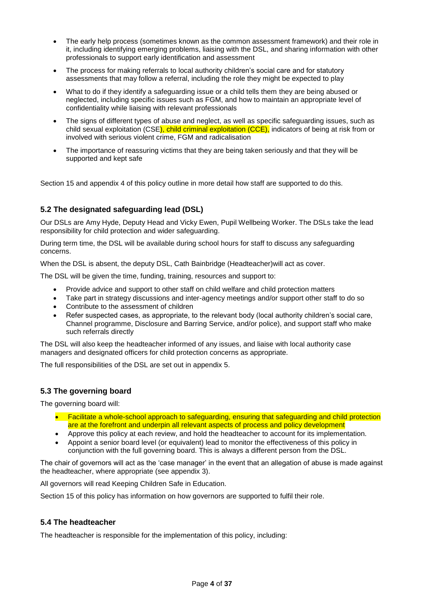- The early help process (sometimes known as the common assessment framework) and their role in it, including identifying emerging problems, liaising with the DSL, and sharing information with other professionals to support early identification and assessment
- The process for making referrals to local authority children's social care and for statutory assessments that may follow a referral, including the role they might be expected to play
- What to do if they identify a safeguarding issue or a child tells them they are being abused or neglected, including specific issues such as FGM, and how to maintain an appropriate level of confidentiality while liaising with relevant professionals
- The signs of different types of abuse and neglect, as well as specific safeguarding issues, such as child sexual exploitation (CSE), child criminal exploitation (CCE), indicators of being at risk from or involved with serious violent crime, FGM and radicalisation
- The importance of reassuring victims that they are being taken seriously and that they will be supported and kept safe

Section 15 and appendix 4 of this policy outline in more detail how staff are supported to do this.

# **5.2 The designated safeguarding lead (DSL)**

Our DSLs are Amy Hyde, Deputy Head and Vicky Ewen, Pupil Wellbeing Worker. The DSLs take the lead responsibility for child protection and wider safeguarding.

During term time, the DSL will be available during school hours for staff to discuss any safeguarding concerns.

When the DSL is absent, the deputy DSL, Cath Bainbridge (Headteacher)will act as cover.

The DSL will be given the time, funding, training, resources and support to:

- Provide advice and support to other staff on child welfare and child protection matters
- Take part in strategy discussions and inter-agency meetings and/or support other staff to do so
- Contribute to the assessment of children
- Refer suspected cases, as appropriate, to the relevant body (local authority children's social care, Channel programme, Disclosure and Barring Service, and/or police), and support staff who make such referrals directly

The DSL will also keep the headteacher informed of any issues, and liaise with local authority case managers and designated officers for child protection concerns as appropriate.

The full responsibilities of the DSL are set out in appendix 5.

# **5.3 The governing board**

The governing board will:

- Facilitate a whole-school approach to safeguarding, ensuring that safeguarding and child protection are at the forefront and underpin all relevant aspects of process and policy development
- Approve this policy at each review, and hold the headteacher to account for its implementation.
- Appoint a senior board level (or equivalent) lead to monitor the effectiveness of this policy in conjunction with the full governing board. This is always a different person from the DSL.

The chair of governors will act as the 'case manager' in the event that an allegation of abuse is made against the headteacher, where appropriate (see appendix 3).

All governors will read Keeping Children Safe in Education.

Section 15 of this policy has information on how governors are supported to fulfil their role.

#### **5.4 The headteacher**

The headteacher is responsible for the implementation of this policy, including: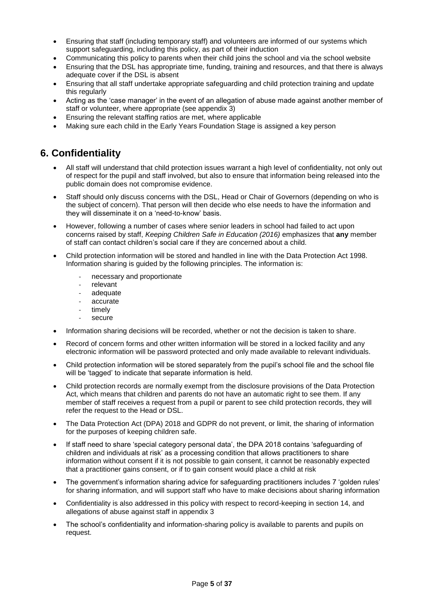- Ensuring that staff (including temporary staff) and volunteers are informed of our systems which support safeguarding, including this policy, as part of their induction
- Communicating this policy to parents when their child joins the school and via the school website
- Ensuring that the DSL has appropriate time, funding, training and resources, and that there is always adequate cover if the DSL is absent
- Ensuring that all staff undertake appropriate safeguarding and child protection training and update this regularly
- Acting as the 'case manager' in the event of an allegation of abuse made against another member of staff or volunteer, where appropriate (see appendix 3)
- Ensuring the relevant staffing ratios are met, where applicable
- Making sure each child in the Early Years Foundation Stage is assigned a key person

# <span id="page-4-0"></span>**6. Confidentiality**

- All staff will understand that child protection issues warrant a high level of confidentiality, not only out of respect for the pupil and staff involved, but also to ensure that information being released into the public domain does not compromise evidence.
- Staff should only discuss concerns with the DSL, Head or Chair of Governors (depending on who is the subject of concern). That person will then decide who else needs to have the information and they will disseminate it on a 'need-to-know' basis.
- However, following a number of cases where senior leaders in school had failed to act upon concerns raised by staff, *Keeping Children Safe in Education (2016)* emphasizes that **any** member of staff can contact children's social care if they are concerned about a child.
- Child protection information will be stored and handled in line with the Data Protection Act 1998. Information sharing is guided by the following principles. The information is:
	- necessary and proportionate
	- relevant
	- adequate
	- accurate
	- timely
	- secure
- Information sharing decisions will be recorded, whether or not the decision is taken to share.
- Record of concern forms and other written information will be stored in a locked facility and any electronic information will be password protected and only made available to relevant individuals.
- Child protection information will be stored separately from the pupil's school file and the school file will be 'tagged' to indicate that separate information is held.
- Child protection records are normally exempt from the disclosure provisions of the Data Protection Act, which means that children and parents do not have an automatic right to see them. If any member of staff receives a request from a pupil or parent to see child protection records, they will refer the request to the Head or DSL.
- The Data Protection Act (DPA) 2018 and GDPR do not prevent, or limit, the sharing of information for the purposes of keeping children safe.
- If staff need to share 'special category personal data', the DPA 2018 contains 'safeguarding of children and individuals at risk' as a processing condition that allows practitioners to share information without consent if it is not possible to gain consent, it cannot be reasonably expected that a practitioner gains consent, or if to gain consent would place a child at risk
- The government's information sharing advice for safeguarding practitioners includes 7 'golden rules' for sharing information, and will support staff who have to make decisions about sharing information
- Confidentiality is also addressed in this policy with respect to record-keeping in section 14, and allegations of abuse against staff in appendix 3
- The school's confidentiality and information-sharing policy is available to parents and pupils on request.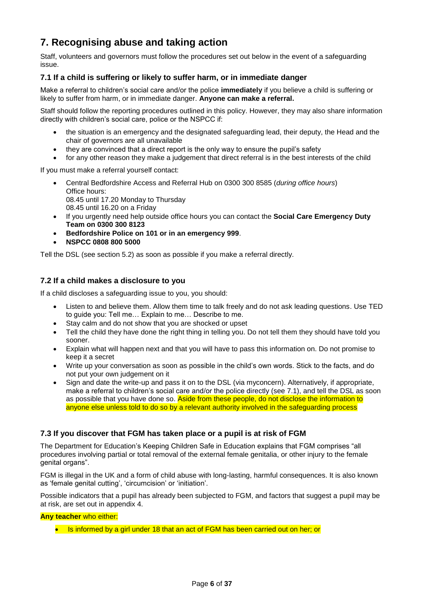# <span id="page-5-0"></span>**7. Recognising abuse and taking action**

Staff, volunteers and governors must follow the procedures set out below in the event of a safeguarding issue.

# **7.1 If a child is suffering or likely to suffer harm, or in immediate danger**

Make a referral to children's social care and/or the police **immediately** if you believe a child is suffering or likely to suffer from harm, or in immediate danger. **Anyone can make a referral.**

Staff should follow the reporting procedures outlined in this policy. However, they may also share information directly with children's social care, police or the NSPCC if:

- the situation is an emergency and the designated safeguarding lead, their deputy, the Head and the chair of governors are all unavailable
- they are convinced that a direct report is the only way to ensure the pupil's safety
- for any other reason they make a judgement that direct referral is in the best interests of the child

If you must make a referral yourself contact:

- Central Bedfordshire Access and Referral Hub on 0300 300 8585 (*during office hours*) Office hours: 08.45 until 17.20 Monday to Thursday 08.45 until 16.20 on a Friday
- If you urgently need help outside office hours you can contact the **Social Care Emergency Duty Team on 0300 300 8123**
- **Bedfordshire Police on 101 or in an emergency 999**.
- **NSPCC 0808 800 5000**

Tell the DSL (see section 5.2) as soon as possible if you make a referral directly.

# **7.2 If a child makes a disclosure to you**

If a child discloses a safeguarding issue to you, you should:

- Listen to and believe them. Allow them time to talk freely and do not ask leading questions. Use TED to guide you: Tell me… Explain to me… Describe to me.
- Stay calm and do not show that you are shocked or upset
- Tell the child they have done the right thing in telling you. Do not tell them they should have told you sooner.
- Explain what will happen next and that you will have to pass this information on. Do not promise to keep it a secret
- Write up your conversation as soon as possible in the child's own words. Stick to the facts, and do not put your own judgement on it
- Sign and date the write-up and pass it on to the DSL (via myconcern). Alternatively, if appropriate, make a referral to children's social care and/or the police directly (see 7.1), and tell the DSL as soon as possible that you have done so. Aside from these people, do not disclose the information to anyone else unless told to do so by a relevant authority involved in the safeguarding process

# **7.3 If you discover that FGM has taken place or a pupil is at risk of FGM**

The Department for Education's Keeping Children Safe in Education explains that FGM comprises "all procedures involving partial or total removal of the external female genitalia, or other injury to the female genital organs".

FGM is illegal in the UK and a form of child abuse with long-lasting, harmful consequences. It is also known as 'female genital cutting', 'circumcision' or 'initiation'.

Possible indicators that a pupil has already been subjected to FGM, and factors that suggest a pupil may be at risk, are set out in appendix 4.

#### **Any teacher** who either:

• Is informed by a girl under 18 that an act of FGM has been carried out on her; or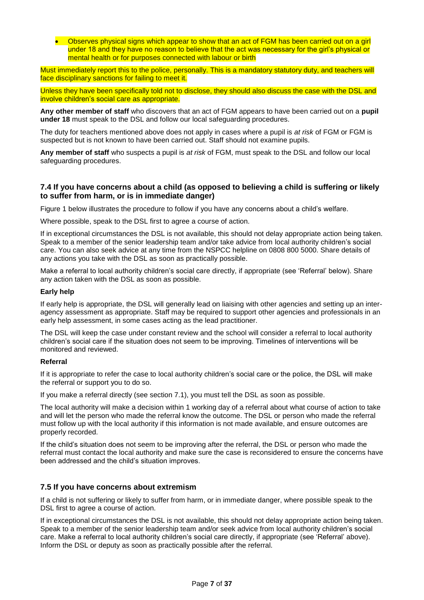Observes physical signs which appear to show that an act of FGM has been carried out on a girl under 18 and they have no reason to believe that the act was necessary for the girl's physical or mental health or for purposes connected with labour or birth

Must immediately report this to the police, personally. This is a mandatory statutory duty, and teachers will face disciplinary sanctions for failing to meet it.

Unless they have been specifically told not to disclose, they should also discuss the case with the DSL and involve children's social care as appropriate.

**Any other member of staff** who discovers that an act of FGM appears to have been carried out on a **pupil under 18** must speak to the DSL and follow our local safeguarding procedures.

The duty for teachers mentioned above does not apply in cases where a pupil is *at risk* of FGM or FGM is suspected but is not known to have been carried out. Staff should not examine pupils.

**Any member of staff** who suspects a pupil is *at risk* of FGM, must speak to the DSL and follow our local safeguarding procedures.

### **7.4 If you have concerns about a child (as opposed to believing a child is suffering or likely to suffer from harm, or is in immediate danger)**

Figure 1 below illustrates the procedure to follow if you have any concerns about a child's welfare.

Where possible, speak to the DSL first to agree a course of action.

If in exceptional circumstances the DSL is not available, this should not delay appropriate action being taken. Speak to a member of the senior leadership team and/or take advice from local authority children's social care. You can also seek advice at any time from the NSPCC helpline on 0808 800 5000. Share details of any actions you take with the DSL as soon as practically possible.

Make a referral to local authority children's social care directly, if appropriate (see 'Referral' below). Share any action taken with the DSL as soon as possible.

#### **Early help**

If early help is appropriate, the DSL will generally lead on liaising with other agencies and setting up an interagency assessment as appropriate. Staff may be required to support other agencies and professionals in an early help assessment, in some cases acting as the lead practitioner.

The DSL will keep the case under constant review and the school will consider a referral to local authority children's social care if the situation does not seem to be improving. Timelines of interventions will be monitored and reviewed.

#### **Referral**

If it is appropriate to refer the case to local authority children's social care or the police, the DSL will make the referral or support you to do so.

If you make a referral directly (see section 7.1), you must tell the DSL as soon as possible.

The local authority will make a decision within 1 working day of a referral about what course of action to take and will let the person who made the referral know the outcome. The DSL or person who made the referral must follow up with the local authority if this information is not made available, and ensure outcomes are properly recorded.

If the child's situation does not seem to be improving after the referral, the DSL or person who made the referral must contact the local authority and make sure the case is reconsidered to ensure the concerns have been addressed and the child's situation improves.

#### **7.5 If you have concerns about extremism**

If a child is not suffering or likely to suffer from harm, or in immediate danger, where possible speak to the DSL first to agree a course of action.

If in exceptional circumstances the DSL is not available, this should not delay appropriate action being taken. Speak to a member of the senior leadership team and/or seek advice from local authority children's social care. Make a referral to local authority children's social care directly, if appropriate (see 'Referral' above). Inform the DSL or deputy as soon as practically possible after the referral.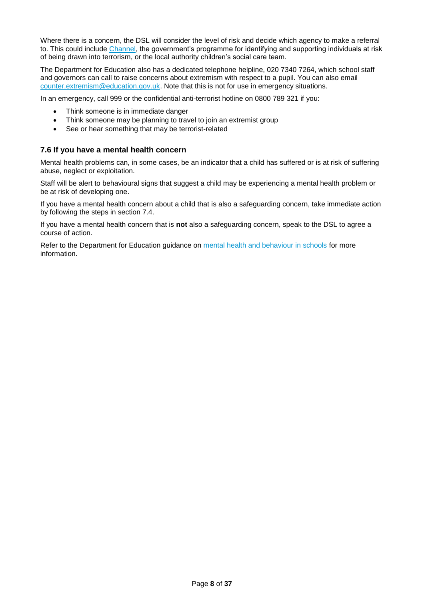Where there is a concern, the DSL will consider the level of risk and decide which agency to make a referral to. This could include [Channel,](https://www.gov.uk/government/publications/channel-guidance) the government's programme for identifying and supporting individuals at risk of being drawn into terrorism, or the local authority children's social care team.

The Department for Education also has a dedicated telephone helpline, 020 7340 7264, which school staff and governors can call to raise concerns about extremism with respect to a pupil. You can also email [counter.extremism@education.gov.uk.](mailto:counter.extremism@education.gov.uk) Note that this is not for use in emergency situations.

In an emergency, call 999 or the confidential anti-terrorist hotline on 0800 789 321 if you:

- Think someone is in immediate danger
- Think someone may be planning to travel to join an extremist group
- See or hear something that may be terrorist-related

#### **7.6 If you have a mental health concern**

Mental health problems can, in some cases, be an indicator that a child has suffered or is at risk of suffering abuse, neglect or exploitation.

Staff will be alert to behavioural signs that suggest a child may be experiencing a mental health problem or be at risk of developing one.

If you have a mental health concern about a child that is also a safeguarding concern, take immediate action by following the steps in section 7.4.

If you have a mental health concern that is **not** also a safeguarding concern, speak to the DSL to agree a course of action.

Refer to the Department for Education guidance on [mental health and behaviour in schools](https://www.gov.uk/government/publications/mental-health-and-behaviour-in-schools--2) for more information.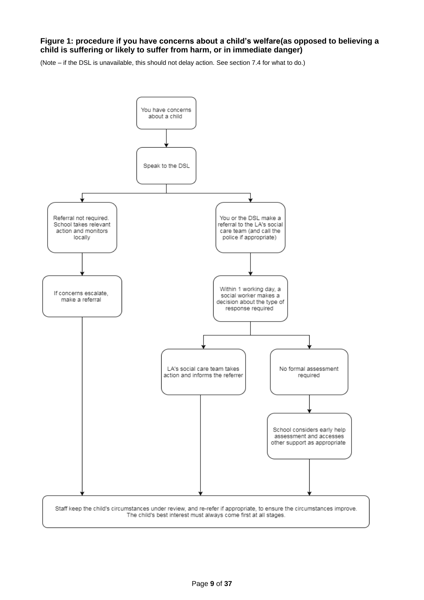# **Figure 1: procedure if you have concerns about a child's welfare(as opposed to believing a child is suffering or likely to suffer from harm, or in immediate danger)**

(Note – if the DSL is unavailable, this should not delay action. See section 7.4 for what to do.)

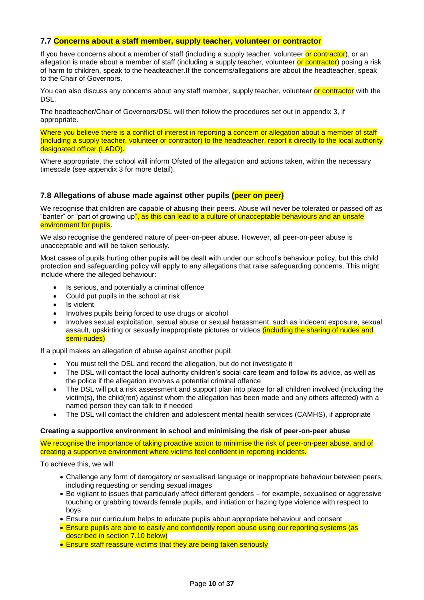#### **7.7 Concerns about a staff member, supply teacher, volunteer or contractor**

If you have concerns about a member of staff (including a supply teacher, volunteer or contractor), or an allegation is made about a member of staff (including a supply teacher, volunteer or contractor) posing a risk of harm to children, speak to the headteacher.If the concerns/allegations are about the headteacher, speak to the Chair of Governors.

You can also discuss any concerns about any staff member, supply teacher, volunteer or contractor with the DSL.

The headteacher/Chair of Governors/DSL will then follow the procedures set out in appendix 3, if appropriate.

Where you believe there is a conflict of interest in reporting a concern or allegation about a member of staff (including a supply teacher, volunteer or contractor) to the headteacher, report it directly to the local authority designated officer (LADO).

Where appropriate, the school will inform Ofsted of the allegation and actions taken, within the necessary timescale (see appendix 3 for more detail).

### **7.8 Allegations of abuse made against other pupils (peer on peer)**

We recognise that children are capable of abusing their peers. Abuse will never be tolerated or passed off as "banter" or "part of growing up", as this can lead to a culture of unacceptable behaviours and an unsafe environment for pupils.

We also recognise the gendered nature of peer-on-peer abuse. However, all peer-on-peer abuse is unacceptable and will be taken seriously.

Most cases of pupils hurting other pupils will be dealt with under our school's behaviour policy, but this child protection and safeguarding policy will apply to any allegations that raise safeguarding concerns. This might include where the alleged behaviour:

- Is serious, and potentially a criminal offence
- Could put pupils in the school at risk
- Is violent
- Involves pupils being forced to use drugs or alcohol
- Involves sexual exploitation, sexual abuse or sexual harassment, such as indecent exposure, sexual assault, upskirting or sexually inappropriate pictures or videos (including the sharing of nudes and semi-nudes)

If a pupil makes an allegation of abuse against another pupil:

- You must tell the DSL and record the allegation, but do not investigate it
- The DSL will contact the local authority children's social care team and follow its advice, as well as the police if the allegation involves a potential criminal offence
- The DSL will put a risk assessment and support plan into place for all children involved (including the victim(s), the child(ren) against whom the allegation has been made and any others affected) with a named person they can talk to if needed
- The DSL will contact the children and adolescent mental health services (CAMHS), if appropriate

#### **Creating a supportive environment in school and minimising the risk of peer-on-peer abuse**

We recognise the importance of taking proactive action to minimise the risk of peer-on-peer abuse, and of creating a supportive environment where victims feel confident in reporting incidents.

To achieve this, we will:

- Challenge any form of derogatory or sexualised language or inappropriate behaviour between peers, including requesting or sending sexual images
- Be vigilant to issues that particularly affect different genders for example, sexualised or aggressive touching or grabbing towards female pupils, and initiation or hazing type violence with respect to boys
- Ensure our curriculum helps to educate pupils about appropriate behaviour and consent
- Ensure pupils are able to easily and confidently report abuse using our reporting systems (as described in section 7.10 below)
- Ensure staff reassure victims that they are being taken seriously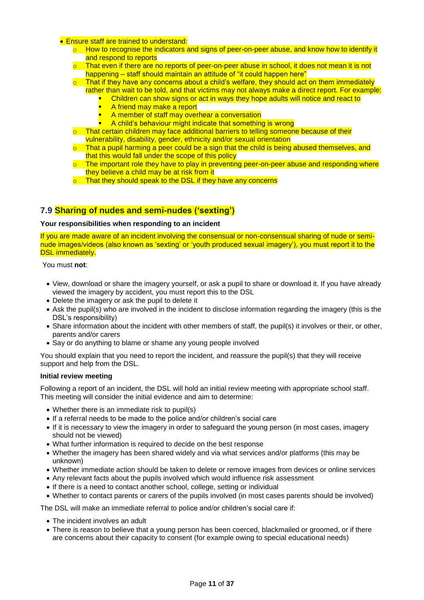#### **Ensure staff are trained to understand:**

- $\circ$  How to recognise the indicators and signs of peer-on-peer abuse, and know how to identify it and respond to reports
- $\circ$  That even if there are no reports of peer-on-peer abuse in school, it does not mean it is not happening – staff should maintain an attitude of "it could happen here"
- $\circ$  That if they have any concerns about a child's welfare, they should act on them immediately rather than wait to be told, and that victims may not always make a direct report. For example:
	- Children can show signs or act in ways they hope adults will notice and react to
		- A friend may make a report
	- A member of staff may overhear a conversation
	- A child's behaviour might indicate that something is wrong
- $\circ$  That certain children may face additional barriers to telling someone because of their vulnerability, disability, gender, ethnicity and/or sexual orientation
- $\circ$  That a pupil harming a peer could be a sign that the child is being abused themselves, and that this would fall under the scope of this policy
- $\circ$  The important role they have to play in preventing peer-on-peer abuse and responding where they believe a child may be at risk from it
- $\circ$  That they should speak to the DSL if they have any concerns

# **7.9 Sharing of nudes and semi-nudes ('sexting')**

#### **Your responsibilities when responding to an incident**

If you are made aware of an incident involving the consensual or non-consensual sharing of nude or seminude images/videos (also known as 'sexting' or 'youth produced sexual imagery'), you must report it to the DSL immediately.

You must **not**:

- View, download or share the imagery yourself, or ask a pupil to share or download it. If you have already viewed the imagery by accident, you must report this to the DSL
- Delete the imagery or ask the pupil to delete it
- Ask the pupil(s) who are involved in the incident to disclose information regarding the imagery (this is the DSL's responsibility)
- Share information about the incident with other members of staff, the pupil(s) it involves or their, or other, parents and/or carers
- Say or do anything to blame or shame any young people involved

You should explain that you need to report the incident, and reassure the pupil(s) that they will receive support and help from the DSL.

#### **Initial review meeting**

Following a report of an incident, the DSL will hold an initial review meeting with appropriate school staff. This meeting will consider the initial evidence and aim to determine:

- Whether there is an immediate risk to pupil(s)
- If a referral needs to be made to the police and/or children's social care
- If it is necessary to view the imagery in order to safeguard the young person (in most cases, imagery should not be viewed)
- What further information is required to decide on the best response
- Whether the imagery has been shared widely and via what services and/or platforms (this may be unknown)
- Whether immediate action should be taken to delete or remove images from devices or online services
- Any relevant facts about the pupils involved which would influence risk assessment
- If there is a need to contact another school, college, setting or individual
- Whether to contact parents or carers of the pupils involved (in most cases parents should be involved)

The DSL will make an immediate referral to police and/or children's social care if:

- The incident involves an adult
- There is reason to believe that a young person has been coerced, blackmailed or groomed, or if there are concerns about their capacity to consent (for example owing to special educational needs)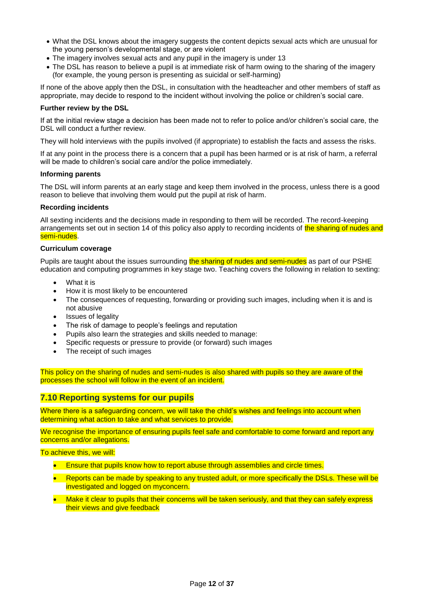- What the DSL knows about the imagery suggests the content depicts sexual acts which are unusual for the young person's developmental stage, or are violent
- The imagery involves sexual acts and any pupil in the imagery is under 13
- The DSL has reason to believe a pupil is at immediate risk of harm owing to the sharing of the imagery (for example, the young person is presenting as suicidal or self-harming)

If none of the above apply then the DSL, in consultation with the headteacher and other members of staff as appropriate, may decide to respond to the incident without involving the police or children's social care.

#### **Further review by the DSL**

If at the initial review stage a decision has been made not to refer to police and/or children's social care, the DSL will conduct a further review.

They will hold interviews with the pupils involved (if appropriate) to establish the facts and assess the risks.

If at any point in the process there is a concern that a pupil has been harmed or is at risk of harm, a referral will be made to children's social care and/or the police immediately.

#### **Informing parents**

The DSL will inform parents at an early stage and keep them involved in the process, unless there is a good reason to believe that involving them would put the pupil at risk of harm.

#### **Recording incidents**

All sexting incidents and the decisions made in responding to them will be recorded. The record-keeping arrangements set out in section 14 of this policy also apply to recording incidents of the sharing of nudes and semi-nudes.

#### **Curriculum coverage**

Pupils are taught about the issues surrounding the sharing of nudes and semi-nudes as part of our PSHE education and computing programmes in key stage two. Teaching covers the following in relation to sexting:

- What it is
- How it is most likely to be encountered
- The consequences of requesting, forwarding or providing such images, including when it is and is not abusive
- Issues of legality
- The risk of damage to people's feelings and reputation
- Pupils also learn the strategies and skills needed to manage:
- Specific requests or pressure to provide (or forward) such images
- The receipt of such images

This policy on the sharing of nudes and semi-nudes is also shared with pupils so they are aware of the processes the school will follow in the event of an incident.

# **7.10 Reporting systems for our pupils**

Where there is a safeguarding concern, we will take the child's wishes and feelings into account when determining what action to take and what services to provide.

We recognise the importance of ensuring pupils feel safe and comfortable to come forward and report any concerns and/or allegations.

To achieve this, we will:

- **Ensure that pupils know how to report abuse through assemblies and circle times.**
- Reports can be made by speaking to any trusted adult, or more specifically the DSLs. These will be investigated and logged on myconcern.
- Make it clear to pupils that their concerns will be taken seriously, and that they can safely express their views and give feedback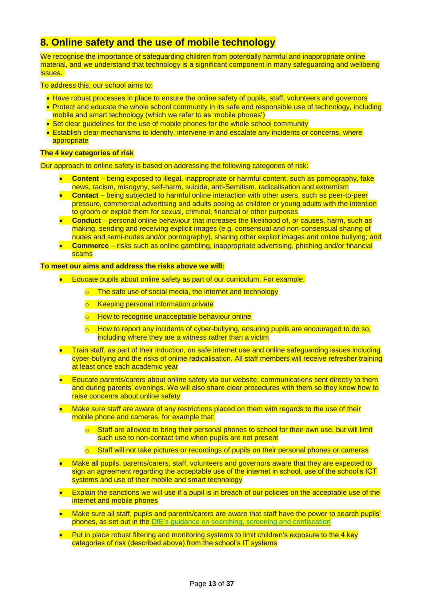# <span id="page-12-0"></span>**8. Online safety and the use of mobile technology**

We recognise the importance of safeguarding children from potentially harmful and inappropriate online material, and we understand that technology is a significant component in many safeguarding and wellbeing issues.

To address this, our school aims to:

- Have robust processes in place to ensure the online safety of pupils, staff, volunteers and governors
- Protect and educate the whole school community in its safe and responsible use of technology, including mobile and smart technology (which we refer to as 'mobile phones')
- Set clear quidelines for the use of mobile phones for the whole school community
- Establish clear mechanisms to identify, intervene in and escalate any incidents or concerns, where **appropriate**

### **The 4 key categories of risk**

Our approach to online safety is based on addressing the following categories of risk:

- **Content** being exposed to illegal, inappropriate or harmful content, such as pornography, fake news, racism, misogyny, self-harm, suicide, anti-Semitism, radicalisation and extremism
- **Contact** being subjected to harmful online interaction with other users, such as peer-to-peer pressure, commercial advertising and adults posing as children or young adults with the intention to groom or exploit them for sexual, criminal, financial or other purposes
- **Conduct** personal online behaviour that increases the likelihood of, or causes, harm, such as making, sending and receiving explicit images (e.g. consensual and non-consensual sharing of nudes and semi-nudes and/or pornography), sharing other explicit images and online bullying; and
- **Commerce** risks such as online gambling, inappropriate advertising, phishing and/or financial scams

#### **To meet our aims and address the risks above we will:**

- Educate pupils about online safety as part of our curriculum. For example:
	- The safe use of social media, the internet and technology
	- o Keeping personal information private
	- o How to recognise unacceptable behaviour online
	- $\circ$  How to report any incidents of cyber-bullying, ensuring pupils are encouraged to do so, including where they are a witness rather than a victim
- Train staff, as part of their induction, on safe internet use and online safeguarding issues including cyber-bullying and the risks of online radicalisation. All staff members will receive refresher training at least once each academic year
- Educate parents/carers about online safety via our website, communications sent directly to them and during parents' evenings. We will also share clear procedures with them so they know how to raise concerns about online safety
- Make sure staff are aware of any restrictions placed on them with regards to the use of their mobile phone and cameras, for example that:
	- Staff are allowed to bring their personal phones to school for their own use, but will limit such use to non-contact time when pupils are not present
	- o Staff will not take pictures or recordings of pupils on their personal phones or cameras
- Make all pupils, parents/carers, staff, volunteers and governors aware that they are expected to sign an agreement regarding the acceptable use of the internet in school, use of the school's ICT systems and use of their mobile and smart technology
- **Explain the sanctions we will use if a pupil is in breach of our policies on the acceptable use of the** internet and mobile phones
- Make sure all staff, pupils and parents/carers are aware that staff have the power to search pupils' phones, as set out in the [DfE's guidance on searching, screening and confiscation](https://www.gov.uk/government/publications/searching-screening-and-confiscation)
- Put in place robust filtering and monitoring systems to limit children's exposure to the 4 key categories of risk (described above) from the school's IT systems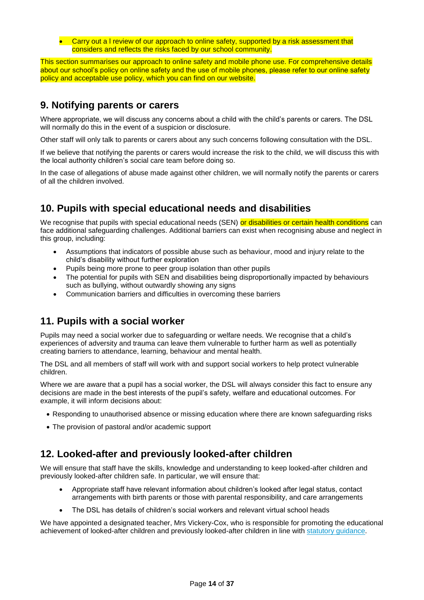Carry out a l review of our approach to online safety, supported by a risk assessment that considers and reflects the risks faced by our school community.

This section summarises our approach to online safety and mobile phone use. For comprehensive details about our school's policy on online safety and the use of mobile phones, please refer to our online safety policy and acceptable use policy, which you can find on our website.

# <span id="page-13-0"></span>**9. Notifying parents or carers**

Where appropriate, we will discuss any concerns about a child with the child's parents or carers. The DSL will normally do this in the event of a suspicion or disclosure.

Other staff will only talk to parents or carers about any such concerns following consultation with the DSL.

If we believe that notifying the parents or carers would increase the risk to the child, we will discuss this with the local authority children's social care team before doing so.

In the case of allegations of abuse made against other children, we will normally notify the parents or carers of all the children involved.

# <span id="page-13-1"></span>**10. Pupils with special educational needs and disabilities**

We recognise that pupils with special educational needs (SEN) or disabilities or certain health conditions can face additional safeguarding challenges. Additional barriers can exist when recognising abuse and neglect in this group, including:

- Assumptions that indicators of possible abuse such as behaviour, mood and injury relate to the child's disability without further exploration
- Pupils being more prone to peer group isolation than other pupils
- The potential for pupils with SEN and disabilities being disproportionally impacted by behaviours such as bullying, without outwardly showing any signs
- Communication barriers and difficulties in overcoming these barriers

# <span id="page-13-2"></span>**11. Pupils with a social worker**

Pupils may need a social worker due to safeguarding or welfare needs. We recognise that a child's experiences of adversity and trauma can leave them vulnerable to further harm as well as potentially creating barriers to attendance, learning, behaviour and mental health.

The DSL and all members of staff will work with and support social workers to help protect vulnerable children.

Where we are aware that a pupil has a social worker, the DSL will always consider this fact to ensure any decisions are made in the best interests of the pupil's safety, welfare and educational outcomes. For example, it will inform decisions about:

- Responding to unauthorised absence or missing education where there are known safeguarding risks
- The provision of pastoral and/or academic support

# <span id="page-13-3"></span>**12. Looked-after and previously looked-after children**

We will ensure that staff have the skills, knowledge and understanding to keep looked-after children and previously looked-after children safe. In particular, we will ensure that:

- Appropriate staff have relevant information about children's looked after legal status, contact arrangements with birth parents or those with parental responsibility, and care arrangements
- The DSL has details of children's social workers and relevant virtual school heads

We have appointed a designated teacher, Mrs Vickery-Cox, who is responsible for promoting the educational achievement of looked-after children and previously looked-after children in line with [statutory guidance.](https://www.gov.uk/government/publications/designated-teacher-for-looked-after-children)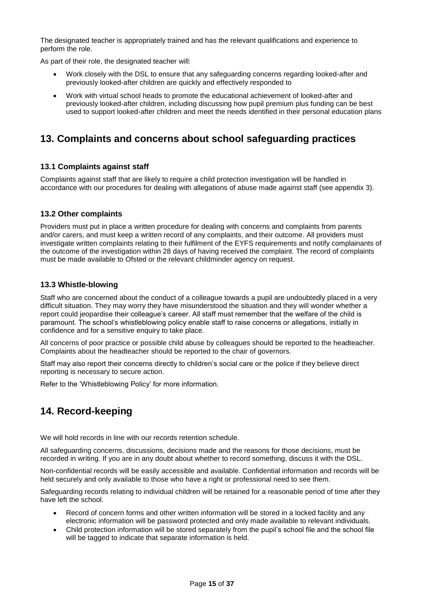The designated teacher is appropriately trained and has the relevant qualifications and experience to perform the role.

As part of their role, the designated teacher will:

- Work closely with the DSL to ensure that any safeguarding concerns regarding looked-after and previously looked-after children are quickly and effectively responded to
- Work with virtual school heads to promote the educational achievement of looked-after and previously looked-after children, including discussing how pupil premium plus funding can be best used to support looked-after children and meet the needs identified in their personal education plans

# <span id="page-14-0"></span>**13. Complaints and concerns about school safeguarding practices**

# **13.1 Complaints against staff**

Complaints against staff that are likely to require a child protection investigation will be handled in accordance with our procedures for dealing with allegations of abuse made against staff (see appendix 3).

# **13.2 Other complaints**

Providers must put in place a written procedure for dealing with concerns and complaints from parents and/or carers, and must keep a written record of any complaints, and their outcome. All providers must investigate written complaints relating to their fulfilment of the EYFS requirements and notify complainants of the outcome of the investigation within 28 days of having received the complaint. The record of complaints must be made available to Ofsted or the relevant childminder agency on request.

# **13.3 Whistle-blowing**

Staff who are concerned about the conduct of a colleague towards a pupil are undoubtedly placed in a very difficult situation. They may worry they have misunderstood the situation and they will wonder whether a report could jeopardise their colleague's career. All staff must remember that the welfare of the child is paramount. The school's whistleblowing policy enable staff to raise concerns or allegations, initially in confidence and for a sensitive enquiry to take place.

All concerns of poor practice or possible child abuse by colleagues should be reported to the headteacher. Complaints about the headteacher should be reported to the chair of governors.

Staff may also report their concerns directly to children's social care or the police if they believe direct reporting is necessary to secure action.

Refer to the 'Whistleblowing Policy' for more information.

# <span id="page-14-1"></span>**14. Record-keeping**

We will hold records in line with our records retention schedule.

All safeguarding concerns, discussions, decisions made and the reasons for those decisions, must be recorded in writing. If you are in any doubt about whether to record something, discuss it with the DSL.

Non-confidential records will be easily accessible and available. Confidential information and records will be held securely and only available to those who have a right or professional need to see them.

Safeguarding records relating to individual children will be retained for a reasonable period of time after they have left the school.

- Record of concern forms and other written information will be stored in a locked facility and any electronic information will be password protected and only made available to relevant individuals.
- Child protection information will be stored separately from the pupil's school file and the school file will be tagged to indicate that separate information is held.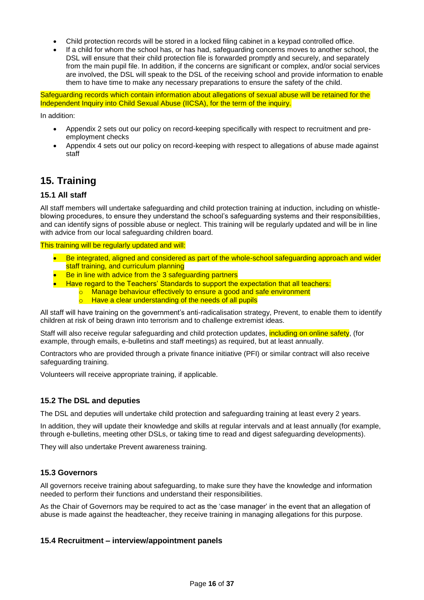- Child protection records will be stored in a locked filing cabinet in a keypad controlled office.
- If a child for whom the school has, or has had, safeguarding concerns moves to another school, the DSL will ensure that their child protection file is forwarded promptly and securely, and separately from the main pupil file. In addition, if the concerns are significant or complex, and/or social services are involved, the DSL will speak to the DSL of the receiving school and provide information to enable them to have time to make any necessary preparations to ensure the safety of the child.

Safeguarding records which contain information about allegations of sexual abuse will be retained for the Independent Inquiry into Child Sexual Abuse (IICSA), for the term of the inquiry.

In addition:

- Appendix 2 sets out our policy on record-keeping specifically with respect to recruitment and preemployment checks
- Appendix 4 sets out our policy on record-keeping with respect to allegations of abuse made against staff

# <span id="page-15-0"></span>**15. Training**

# **15.1 All staff**

All staff members will undertake safeguarding and child protection training at induction, including on whistleblowing procedures, to ensure they understand the school's safeguarding systems and their responsibilities, and can identify signs of possible abuse or neglect. This training will be regularly updated and will be in line with advice from our local safeguarding children board.

This training will be regularly updated and will:

- Be integrated, aligned and considered as part of the whole-school safeguarding approach and wider staff training, and curriculum planning
- Be in line with advice from the 3 safeguarding partners
- Have regard to the Teachers' Standards to support the expectation that all teachers:
	- o Manage behaviour effectively to ensure a good and safe environment o Have a clear understanding of the needs of all pupils

All staff will have training on the government's anti-radicalisation strategy, Prevent, to enable them to identify children at risk of being drawn into terrorism and to challenge extremist ideas.

Staff will also receive regular safeguarding and child protection updates, *including on online safety*, (for example, through emails, e-bulletins and staff meetings) as required, but at least annually.

Contractors who are provided through a private finance initiative (PFI) or similar contract will also receive safeguarding training.

Volunteers will receive appropriate training, if applicable.

# **15.2 The DSL and deputies**

The DSL and deputies will undertake child protection and safeguarding training at least every 2 years.

In addition, they will update their knowledge and skills at regular intervals and at least annually (for example, through e-bulletins, meeting other DSLs, or taking time to read and digest safeguarding developments).

They will also undertake Prevent awareness training.

### **15.3 Governors**

All governors receive training about safeguarding, to make sure they have the knowledge and information needed to perform their functions and understand their responsibilities.

As the Chair of Governors may be required to act as the 'case manager' in the event that an allegation of abuse is made against the headteacher, they receive training in managing allegations for this purpose.

#### **15.4 Recruitment – interview/appointment panels**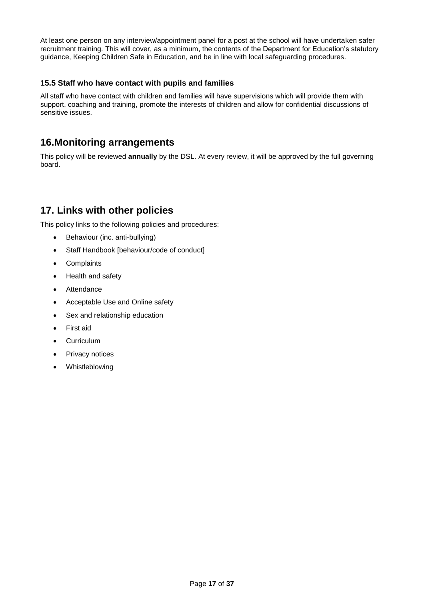At least one person on any interview/appointment panel for a post at the school will have undertaken safer recruitment training. This will cover, as a minimum, the contents of the Department for Education's statutory guidance, Keeping Children Safe in Education, and be in line with local safeguarding procedures.

### **15.5 Staff who have contact with pupils and families**

All staff who have contact with children and families will have supervisions which will provide them with support, coaching and training, promote the interests of children and allow for confidential discussions of sensitive issues.

# **16.Monitoring arrangements**

This policy will be reviewed **annually** by the DSL. At every review, it will be approved by the full governing board.

# **17. Links with other policies**

This policy links to the following policies and procedures:

- Behaviour (inc. anti-bullying)
- Staff Handbook [behaviour/code of conduct]
- Complaints
- Health and safety
- Attendance
- Acceptable Use and Online safety
- Sex and relationship education
- First aid
- Curriculum
- Privacy notices
- Whistleblowing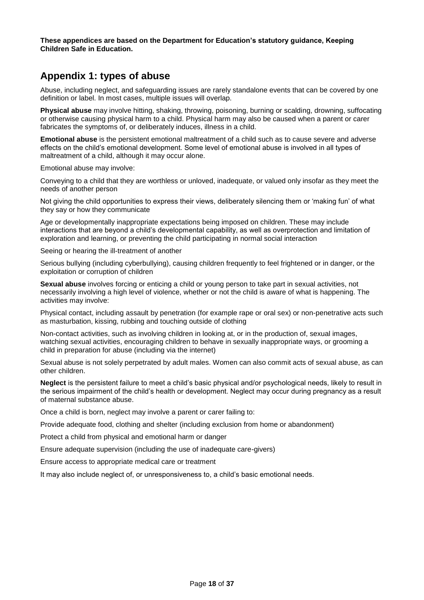**These appendices are based on the Department for Education's statutory guidance, Keeping Children Safe in Education.**

# <span id="page-17-0"></span>**Appendix 1: types of abuse**

Abuse, including neglect, and safeguarding issues are rarely standalone events that can be covered by one definition or label. In most cases, multiple issues will overlap.

**Physical abuse** may involve hitting, shaking, throwing, poisoning, burning or scalding, drowning, suffocating or otherwise causing physical harm to a child. Physical harm may also be caused when a parent or carer fabricates the symptoms of, or deliberately induces, illness in a child.

**Emotional abuse** is the persistent emotional maltreatment of a child such as to cause severe and adverse effects on the child's emotional development. Some level of emotional abuse is involved in all types of maltreatment of a child, although it may occur alone.

Emotional abuse may involve:

Conveying to a child that they are worthless or unloved, inadequate, or valued only insofar as they meet the needs of another person

Not giving the child opportunities to express their views, deliberately silencing them or 'making fun' of what they say or how they communicate

Age or developmentally inappropriate expectations being imposed on children. These may include interactions that are beyond a child's developmental capability, as well as overprotection and limitation of exploration and learning, or preventing the child participating in normal social interaction

Seeing or hearing the ill-treatment of another

Serious bullying (including cyberbullying), causing children frequently to feel frightened or in danger, or the exploitation or corruption of children

**Sexual abuse** involves forcing or enticing a child or young person to take part in sexual activities, not necessarily involving a high level of violence, whether or not the child is aware of what is happening. The activities may involve:

Physical contact, including assault by penetration (for example rape or oral sex) or non-penetrative acts such as masturbation, kissing, rubbing and touching outside of clothing

Non-contact activities, such as involving children in looking at, or in the production of, sexual images, watching sexual activities, encouraging children to behave in sexually inappropriate ways, or grooming a child in preparation for abuse (including via the internet)

Sexual abuse is not solely perpetrated by adult males. Women can also commit acts of sexual abuse, as can other children.

**Neglect** is the persistent failure to meet a child's basic physical and/or psychological needs, likely to result in the serious impairment of the child's health or development. Neglect may occur during pregnancy as a result of maternal substance abuse.

Once a child is born, neglect may involve a parent or carer failing to:

Provide adequate food, clothing and shelter (including exclusion from home or abandonment)

Protect a child from physical and emotional harm or danger

Ensure adequate supervision (including the use of inadequate care-givers)

Ensure access to appropriate medical care or treatment

It may also include neglect of, or unresponsiveness to, a child's basic emotional needs.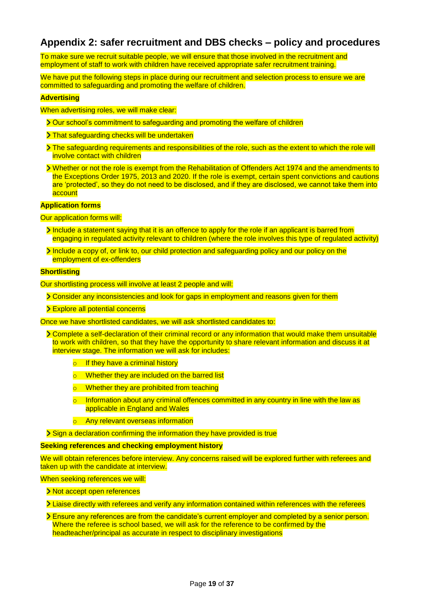# <span id="page-18-0"></span>**Appendix 2: safer recruitment and DBS checks – policy and procedures**

To make sure we recruit suitable people, we will ensure that those involved in the recruitment and employment of staff to work with children have received appropriate safer recruitment training.

We have put the following steps in place during our recruitment and selection process to ensure we are committed to safeguarding and promoting the welfare of children.

#### **Advertising**

When advertising roles, we will make clear:

- Our school's commitment to safeguarding and promoting the welfare of children
- > That safeguarding checks will be undertaken
- **The safeguarding requirements and responsibilities of the role, such as the extent to which the role will** involve contact with children
- Whether or not the role is exempt from the Rehabilitation of Offenders Act 1974 and the amendments to the Exceptions Order 1975, 2013 and 2020. If the role is exempt, certain spent convictions and cautions are 'protected', so they do not need to be disclosed, and if they are disclosed, we cannot take them into account

#### **Application forms**

Our application forms will:

- Include a statement saying that it is an offence to apply for the role if an applicant is barred from engaging in regulated activity relevant to children (where the role involves this type of regulated activity)
- Include a copy of, or link to, our child protection and safequarding policy and our policy on the employment of ex-offenders

#### **Shortlisting**

Our shortlisting process will involve at least 2 people and will:

- Consider any inconsistencies and look for gaps in employment and reasons given for them
- > Explore all potential concerns

Once we have shortlisted candidates, we will ask shortlisted candidates to:

- Complete a self-declaration of their criminal record or any information that would make them unsuitable to work with children, so that they have the opportunity to share relevant information and discuss it at interview stage. The information we will ask for includes:
	- $\circ$  If they have a criminal history
	- o Whether they are included on the barred list
	- $\circ$  Whether they are prohibited from teaching
	- $\circ$  Information about any criminal offences committed in any country in line with the law as applicable in England and Wales
	- o Any relevant overseas information
- Sign a declaration confirming the information they have provided is true

#### **Seeking references and checking employment history**

We will obtain references before interview. Any concerns raised will be explored further with referees and taken up with the candidate at interview.

When seeking references we will:

- **> Not accept open references**
- Liaise directly with referees and verify any information contained within references with the referees
- **Ensure any references are from the candidate's current employer and completed by a senior person.** Where the referee is school based, we will ask for the reference to be confirmed by the headteacher/principal as accurate in respect to disciplinary investigations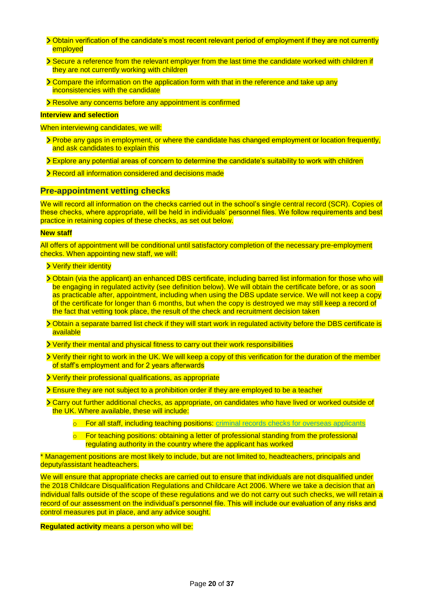- Obtain verification of the candidate's most recent relevant period of employment if they are not currently employed
- Secure a reference from the relevant employer from the last time the candidate worked with children if they are not currently working with children
- Compare the information on the application form with that in the reference and take up any inconsistencies with the candidate
- **> Resolve any concerns before any appointment is confirmed**

#### **Interview and selection**

When interviewing candidates, we will:

- Probe any gaps in employment, or where the candidate has changed employment or location frequently, and ask candidates to explain this
- Explore any potential areas of concern to determine the candidate's suitability to work with children
- **> Record all information considered and decisions made**

#### **Pre-appointment vetting checks**

We will record all information on the checks carried out in the school's single central record (SCR). Copies of these checks, where appropriate, will be held in individuals' personnel files. We follow requirements and best practice in retaining copies of these checks, as set out below.

#### **New staff**

All offers of appointment will be conditional until satisfactory completion of the necessary pre-employment checks. When appointing new staff, we will:

- **> Verify their identity**
- Obtain (via the applicant) an enhanced DBS certificate, including barred list information for those who will be engaging in regulated activity (see definition below). We will obtain the certificate before, or as soon as practicable after, appointment, including when using the DBS update service. We will not keep a copy of the certificate for longer than 6 months, but when the copy is destroyed we may still keep a record of the fact that vetting took place, the result of the check and recruitment decision taken
- Obtain a separate barred list check if they will start work in regulated activity before the DBS certificate is available
- Verify their mental and physical fitness to carry out their work responsibilities
- Verify their right to work in the UK. We will keep a copy of this verification for the duration of the member of staff's employment and for 2 years afterwards
- Yerify their professional qualifications, as appropriate
- Ensure they are not subject to a prohibition order if they are employed to be a teacher
- Carry out further additional checks, as appropriate, on candidates who have lived or worked outside of the UK. Where available, these will include:
	- o For all staff, including teaching positions: [criminal records checks for overseas applicants](https://www.gov.uk/government/publications/criminal-records-checks-for-overseas-applicants)
	- $\circ$  For teaching positions: obtaining a letter of professional standing from the professional regulating authority in the country where the applicant has worked

\* Management positions are most likely to include, but are not limited to, headteachers, principals and deputy/assistant headteachers.

We will ensure that appropriate checks are carried out to ensure that individuals are not disqualified under the 2018 Childcare Disqualification Regulations and Childcare Act 2006. Where we take a decision that an individual falls outside of the scope of these regulations and we do not carry out such checks, we will retain a record of our assessment on the individual's personnel file. This will include our evaluation of any risks and control measures put in place, and any advice sought.

**Regulated activity** means a person who will be: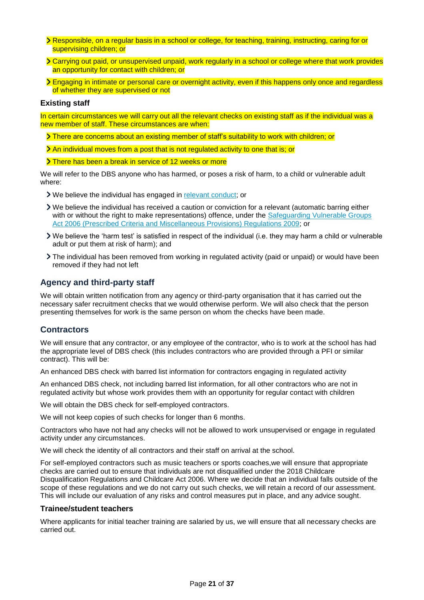- Responsible, on a regular basis in a school or college, for teaching, training, instructing, caring for or supervising children; or
- Carrying out paid, or unsupervised unpaid, work regularly in a school or college where that work provides an opportunity for contact with children; or
- Engaging in intimate or personal care or overnight activity, even if this happens only once and regardless of whether they are supervised or not

#### **Existing staff**

In certain circumstances we will carry out all the relevant checks on existing staff as if the individual was a new member of staff. These circumstances are when:

- There are concerns about an existing member of staff's suitability to work with children; or
- An individual moves from a post that is not regulated activity to one that is; or
- There has been a break in service of 12 weeks or more

We will refer to the DBS anyone who has harmed, or poses a risk of harm, to a child or vulnerable adult where:

- We believe the individual has engaged in [relevant conduct;](https://www.gov.uk/guidance/making-barring-referrals-to-the-dbs#relevant-conduct-in-relation-to-children) or
- We believe the individual has received a caution or conviction for a relevant (automatic barring either with or without the right to make representations) offence, under the Safeguarding Vulnerable Groups [Act 2006 \(Prescribed Criteria and Miscellaneous Provisions\) Regulations 2009;](http://www.legislation.gov.uk/uksi/2009/37/contents/made) or
- We believe the 'harm test' is satisfied in respect of the individual (i.e. they may harm a child or vulnerable adult or put them at risk of harm); and
- The individual has been removed from working in regulated activity (paid or unpaid) or would have been removed if they had not left

# **Agency and third-party staff**

We will obtain written notification from any agency or third-party organisation that it has carried out the necessary safer recruitment checks that we would otherwise perform. We will also check that the person presenting themselves for work is the same person on whom the checks have been made.

# **Contractors**

We will ensure that any contractor, or any employee of the contractor, who is to work at the school has had the appropriate level of DBS check (this includes contractors who are provided through a PFI or similar contract). This will be:

An enhanced DBS check with barred list information for contractors engaging in regulated activity

An enhanced DBS check, not including barred list information, for all other contractors who are not in regulated activity but whose work provides them with an opportunity for regular contact with children

We will obtain the DBS check for self-employed contractors.

We will not keep copies of such checks for longer than 6 months.

Contractors who have not had any checks will not be allowed to work unsupervised or engage in regulated activity under any circumstances.

We will check the identity of all contractors and their staff on arrival at the school.

For self-employed contractors such as music teachers or sports coaches,we will ensure that appropriate checks are carried out to ensure that individuals are not disqualified under the 2018 Childcare Disqualification Regulations and Childcare Act 2006. Where we decide that an individual falls outside of the scope of these regulations and we do not carry out such checks, we will retain a record of our assessment. This will include our evaluation of any risks and control measures put in place, and any advice sought.

#### **Trainee/student teachers**

Where applicants for initial teacher training are salaried by us, we will ensure that all necessary checks are carried out.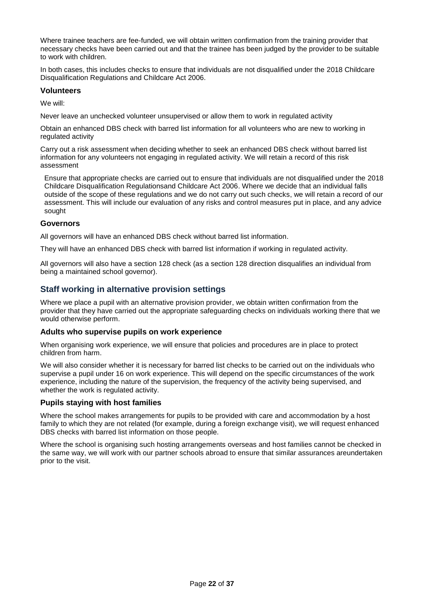Where trainee teachers are fee-funded, we will obtain written confirmation from the training provider that necessary checks have been carried out and that the trainee has been judged by the provider to be suitable to work with children.

In both cases, this includes checks to ensure that individuals are not disqualified under the 2018 Childcare Disqualification Regulations and Childcare Act 2006.

#### **Volunteers**

We will:

Never leave an unchecked volunteer unsupervised or allow them to work in regulated activity

Obtain an enhanced DBS check with barred list information for all volunteers who are new to working in regulated activity

Carry out a risk assessment when deciding whether to seek an enhanced DBS check without barred list information for any volunteers not engaging in regulated activity. We will retain a record of this risk assessment

Ensure that appropriate checks are carried out to ensure that individuals are not disqualified under the 2018 Childcare Disqualification Regulationsand Childcare Act 2006. Where we decide that an individual falls outside of the scope of these regulations and we do not carry out such checks, we will retain a record of our assessment. This will include our evaluation of any risks and control measures put in place, and any advice sought

#### **Governors**

All governors will have an enhanced DBS check without barred list information.

They will have an enhanced DBS check with barred list information if working in regulated activity.

All governors will also have a section 128 check (as a section 128 direction disqualifies an individual from being a maintained school governor).

### **Staff working in alternative provision settings**

Where we place a pupil with an alternative provision provider, we obtain written confirmation from the provider that they have carried out the appropriate safeguarding checks on individuals working there that we would otherwise perform.

#### **Adults who supervise pupils on work experience**

When organising work experience, we will ensure that policies and procedures are in place to protect children from harm.

We will also consider whether it is necessary for barred list checks to be carried out on the individuals who supervise a pupil under 16 on work experience. This will depend on the specific circumstances of the work experience, including the nature of the supervision, the frequency of the activity being supervised, and whether the work is regulated activity.

#### **Pupils staying with host families**

Where the school makes arrangements for pupils to be provided with care and accommodation by a host family to which they are not related (for example, during a foreign exchange visit), we will request enhanced DBS checks with barred list information on those people.

Where the school is organising such hosting arrangements overseas and host families cannot be checked in the same way, we will work with our partner schools abroad to ensure that similar assurances areundertaken prior to the visit.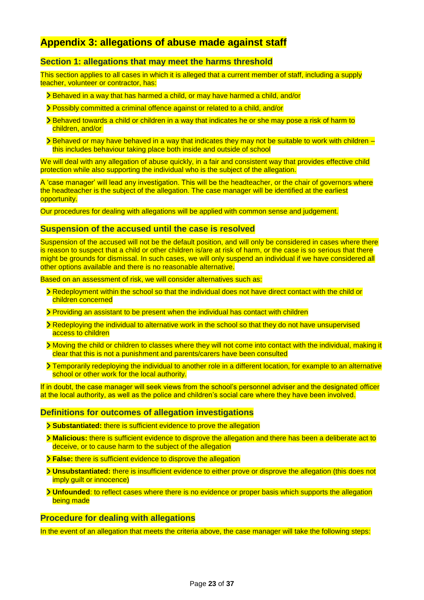# <span id="page-22-0"></span>**Appendix 3: allegations of abuse made against staff**

# **Section 1: allegations that may meet the harms threshold**

This section applies to all cases in which it is alleged that a current member of staff, including a supply teacher, volunteer or contractor, has:

- **>** Behaved in a way that has harmed a child, or may have harmed a child, and/or
- Possibly committed a criminal offence against or related to a child, and/or
- Behaved towards a child or children in a way that indicates he or she may pose a risk of harm to children, and/or
- Behaved or may have behaved in a way that indicates they may not be suitable to work with children this includes behaviour taking place both inside and outside of school

We will deal with any allegation of abuse quickly, in a fair and consistent way that provides effective child protection while also supporting the individual who is the subject of the allegation.

A 'case manager' will lead any investigation. This will be the headteacher, or the chair of governors where the headteacher is the subject of the allegation. The case manager will be identified at the earliest opportunity.

Our procedures for dealing with allegations will be applied with common sense and judgement.

### **Suspension of the accused until the case is resolved**

Suspension of the accused will not be the default position, and will only be considered in cases where there is reason to suspect that a child or other children is/are at risk of harm, or the case is so serious that there might be grounds for dismissal. In such cases, we will only suspend an individual if we have considered all other options available and there is no reasonable alternative.

Based on an assessment of risk, we will consider alternatives such as:

- Redeployment within the school so that the individual does not have direct contact with the child or children concerned
- Providing an assistant to be present when the individual has contact with children
- Redeploying the individual to alternative work in the school so that they do not have unsupervised access to children
- Moving the child or children to classes where they will not come into contact with the individual, making it clear that this is not a punishment and parents/carers have been consulted
- Temporarily redeploying the individual to another role in a different location, for example to an alternative school or other work for the local authority.

If in doubt, the case manager will seek views from the school's personnel adviser and the designated officer at the local authority, as well as the police and children's social care where they have been involved.

#### **Definitions for outcomes of allegation investigations**

**Substantiated:** there is sufficient evidence to prove the allegation

- **Malicious:** there is sufficient evidence to disprove the allegation and there has been a deliberate act to deceive, or to cause harm to the subject of the allegation
- **False:** there is sufficient evidence to disprove the allegation
- **Unsubstantiated:** there is insufficient evidence to either prove or disprove the allegation (this does not imply guilt or innocence)
- **If Unfounded:** to reflect cases where there is no evidence or proper basis which supports the allegation being made

#### **Procedure for dealing with allegations**

In the event of an allegation that meets the criteria above, the case manager will take the following steps: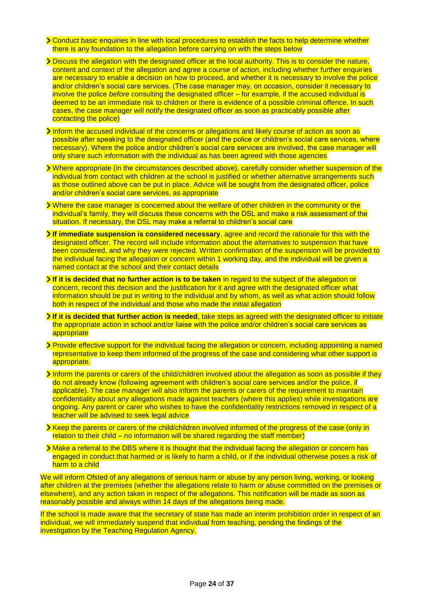- Conduct basic enquiries in line with local procedures to establish the facts to help determine whether there is any foundation to the allegation before carrying on with the steps below
- Discuss the allegation with the designated officer at the local authority. This is to consider the nature, content and context of the allegation and agree a course of action, including whether further enquiries are necessary to enable a decision on how to proceed, and whether it is necessary to involve the police and/or children's social care services. (The case manager may, on occasion, consider it necessary to involve the police *before* consulting the designated officer – for example, if the accused individual is deemed to be an immediate risk to children or there is evidence of a possible criminal offence. In such cases, the case manager will notify the designated officer as soon as practicably possible after contacting the police)
- Inform the accused individual of the concerns or allegations and likely course of action as soon as possible after speaking to the designated officer (and the police or children's social care services, where necessary). Where the police and/or children's social care services are involved, the case manager will only share such information with the individual as has been agreed with those agencies
- Where appropriate (in the circumstances described above), carefully consider whether suspension of the individual from contact with children at the school is justified or whether alternative arrangements such as those outlined above can be put in place. Advice will be sought from the designated officer, police and/or children's social care services, as appropriate
- Where the case manager is concerned about the welfare of other children in the community or the individual's family, they will discuss these concerns with the DSL and make a risk assessment of the situation. If necessary, the DSL may make a referral to children's social care
- **If immediate suspension is considered necessary**, agree and record the rationale for this with the designated officer. The record will include information about the alternatives to suspension that have been considered, and why they were rejected. Written confirmation of the suspension will be provided to the individual facing the allegation or concern within 1 working day, and the individual will be given a named contact at the school and their contact details
- **If it is decided that no further action is to be taken** in regard to the subject of the allegation or concern, record this decision and the justification for it and agree with the designated officer what information should be put in writing to the individual and by whom, as well as what action should follow both in respect of the individual and those who made the initial allegation
- **If it is decided that further action is needed,** take steps as agreed with the designated officer to initiate the appropriate action in school and/or liaise with the police and/or children's social care services as **appropriate**
- Provide effective support for the individual facing the allegation or concern, including appointing a named representative to keep them informed of the progress of the case and considering what other support is appropriate.
- Inform the parents or carers of the child/children involved about the allegation as soon as possible if they do not already know (following agreement with children's social care services and/or the police, if applicable). The case manager will also inform the parents or carers of the requirement to maintain confidentiality about any allegations made against teachers (where this applies) while investigations are ongoing. Any parent or carer who wishes to have the confidentiality restrictions removed in respect of a teacher will be advised to seek legal advice
- Keep the parents or carers of the child/children involved informed of the progress of the case (only in relation to their child – no information will be shared regarding the staff member)
- > Make a referral to the DBS where it is thought that the individual facing the allegation or concern has engaged in conduct that harmed or is likely to harm a child, or if the individual otherwise poses a risk of harm to a child

We will inform Ofsted of any allegations of serious harm or abuse by any person living, working, or looking after children at the premises (whether the allegations relate to harm or abuse committed on the premises or elsewhere), and any action taken in respect of the allegations. This notification will be made as soon as reasonably possible and always within 14 days of the allegations being made.

If the school is made aware that the secretary of state has made an interim prohibition order in respect of an individual, we will immediately suspend that individual from teaching, pending the findings of the investigation by the Teaching Regulation Agency.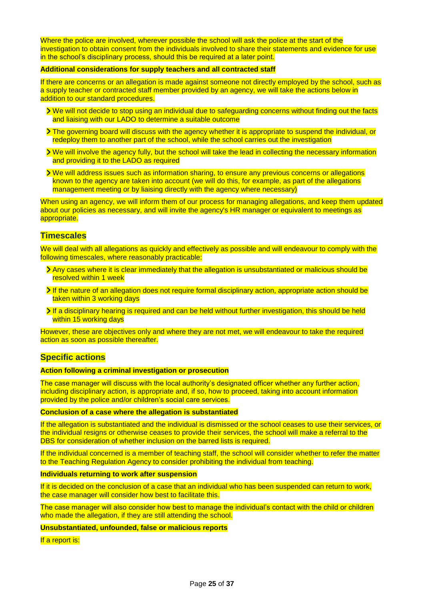Where the police are involved, wherever possible the school will ask the police at the start of the investigation to obtain consent from the individuals involved to share their statements and evidence for use in the school's disciplinary process, should this be required at a later point.

#### **Additional considerations for supply teachers and all contracted staff**

If there are concerns or an allegation is made against someone not directly employed by the school, such as a supply teacher or contracted staff member provided by an agency, we will take the actions below in addition to our standard procedures.

- We will not decide to stop using an individual due to safeguarding concerns without finding out the facts and liaising with our LADO to determine a suitable outcome
- The governing board will discuss with the agency whether it is appropriate to suspend the individual, or redeploy them to another part of the school, while the school carries out the investigation
- We will involve the agency fully, but the school will take the lead in collecting the necessary information and providing it to the LADO as required
- We will address issues such as information sharing, to ensure any previous concerns or allegations known to the agency are taken into account (we will do this, for example, as part of the allegations management meeting or by liaising directly with the agency where necessary)

When using an agency, we will inform them of our process for managing allegations, and keep them updated about our policies as necessary, and will invite the agency's HR manager or equivalent to meetings as appropriate.

#### **Timescales**

We will deal with all allegations as quickly and effectively as possible and will endeavour to comply with the following timescales, where reasonably practicable:

- Any cases where it is clear immediately that the allegation is unsubstantiated or malicious should be resolved within 1 week
- If the nature of an allegation does not require formal disciplinary action, appropriate action should be taken within 3 working days
- If a disciplinary hearing is required and can be held without further investigation, this should be held within 15 working days

However, these are objectives only and where they are not met, we will endeavour to take the required action as soon as possible thereafter.

### **Specific actions**

#### **Action following a criminal investigation or prosecution**

The case manager will discuss with the local authority's designated officer whether any further action, including disciplinary action, is appropriate and, if so, how to proceed, taking into account information provided by the police and/or children's social care services.

#### **Conclusion of a case where the allegation is substantiated**

If the allegation is substantiated and the individual is dismissed or the school ceases to use their services, or the individual resigns or otherwise ceases to provide their services, the school will make a referral to the DBS for consideration of whether inclusion on the barred lists is required.

If the individual concerned is a member of teaching staff, the school will consider whether to refer the matter to the Teaching Regulation Agency to consider prohibiting the individual from teaching.

#### **Individuals returning to work after suspension**

If it is decided on the conclusion of a case that an individual who has been suspended can return to work, the case manager will consider how best to facilitate this.

The case manager will also consider how best to manage the individual's contact with the child or children who made the allegation, if they are still attending the school.

#### **Unsubstantiated, unfounded, false or malicious reports**

If a report is: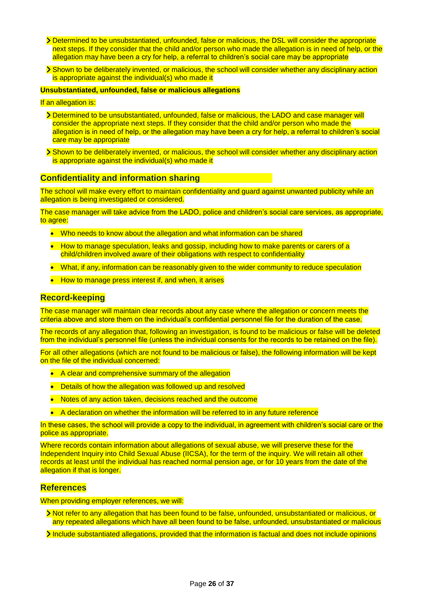- Determined to be unsubstantiated, unfounded, false or malicious, the DSL will consider the appropriate next steps. If they consider that the child and/or person who made the allegation is in need of help, or the allegation may have been a cry for help, a referral to children's social care may be appropriate
- Shown to be deliberately invented, or malicious, the school will consider whether any disciplinary action is appropriate against the individual(s) who made it

#### **Unsubstantiated, unfounded, false or malicious allegations**

If an allegation is:

- Determined to be unsubstantiated, unfounded, false or malicious, the LADO and case manager will consider the appropriate next steps. If they consider that the child and/or person who made the allegation is in need of help, or the allegation may have been a cry for help, a referral to children's social care may be appropriate
- Shown to be deliberately invented, or malicious, the school will consider whether any disciplinary action is appropriate against the individual(s) who made it

#### **Confidentiality and information sharing**

The school will make every effort to maintain confidentiality and guard against unwanted publicity while an allegation is being investigated or considered.

The case manager will take advice from the LADO, police and children's social care services, as appropriate, to agree:

- Who needs to know about the allegation and what information can be shared
- How to manage speculation, leaks and gossip, including how to make parents or carers of a child/children involved aware of their obligations with respect to confidentiality
- What, if any, information can be reasonably given to the wider community to reduce speculation
- How to manage press interest if, and when, it arises

#### **Record-keeping**

The case manager will maintain clear records about any case where the allegation or concern meets the criteria above and store them on the individual's confidential personnel file for the duration of the case.

The records of any allegation that, following an investigation, is found to be malicious or false will be deleted from the individual's personnel file (unless the individual consents for the records to be retained on the file).

For all other allegations (which are not found to be malicious or false), the following information will be kept on the file of the individual concerned:

- A clear and comprehensive summary of the allegation
- Details of how the allegation was followed up and resolved
- Notes of any action taken, decisions reached and the outcome
- A declaration on whether the information will be referred to in any future reference

In these cases, the school will provide a copy to the individual, in agreement with children's social care or the police as appropriate.

Where records contain information about allegations of sexual abuse, we will preserve these for the Independent Inquiry into Child Sexual Abuse (IICSA), for the term of the inquiry. We will retain all other records at least until the individual has reached normal pension age, or for 10 years from the date of the allegation if that is longer.

### **References**

When providing employer references, we will:

- Not refer to any allegation that has been found to be false, unfounded, unsubstantiated or malicious, or any repeated allegations which have all been found to be false, unfounded, unsubstantiated or malicious
- Include substantiated allegations, provided that the information is factual and does not include opinions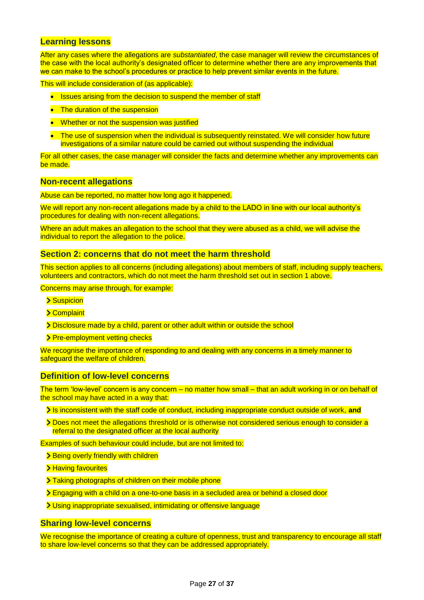# **Learning lessons**

After any cases where the allegations are *substantiated*, the case manager will review the circumstances of the case with the local authority's designated officer to determine whether there are any improvements that we can make to the school's procedures or practice to help prevent similar events in the future.

This will include consideration of (as applicable):

- Issues arising from the decision to suspend the member of staff
- The duration of the suspension
- Whether or not the suspension was justified
- The use of suspension when the individual is subsequently reinstated. We will consider how future investigations of a similar nature could be carried out without suspending the individual

For all other cases, the case manager will consider the facts and determine whether any improvements can be made.

#### **Non-recent allegations**

Abuse can be reported, no matter how long ago it happened.

We will report any non-recent allegations made by a child to the LADO in line with our local authority's procedures for dealing with non-recent allegations.

Where an adult makes an allegation to the school that they were abused as a child, we will advise the individual to report the allegation to the police.

#### **Section 2: concerns that do not meet the harm threshold**

This section applies to all concerns (including allegations) about members of staff, including supply teachers, volunteers and contractors, which do not meet the harm threshold set out in section 1 above.

#### Concerns may arise through, for example:

- Suspicion
- > Complaint
- Disclosure made by a child, parent or other adult within or outside the school
- **> Pre-employment vetting checks**

We recognise the importance of responding to and dealing with any concerns in a timely manner to safequard the welfare of children.

#### **Definition of low-level concerns**

The term 'low-level' concern is any concern – no matter how small – that an adult working in or on behalf of the school may have acted in a way that:

- Is inconsistent with the staff code of conduct, including inappropriate conduct outside of work, **and**
- **Does not meet the allegations threshold or is otherwise not considered serious enough to consider a** referral to the designated officer at the local authority

Examples of such behaviour could include, but are not limited to:

> Being overly friendly with children

- > Having favourites
- Taking photographs of children on their mobile phone
- Engaging with a child on a one-to-one basis in a secluded area or behind a closed door
- Using inappropriate sexualised, intimidating or offensive language

#### **Sharing low-level concerns**

We recognise the importance of creating a culture of openness, trust and transparency to encourage all staff to share low-level concerns so that they can be addressed appropriately.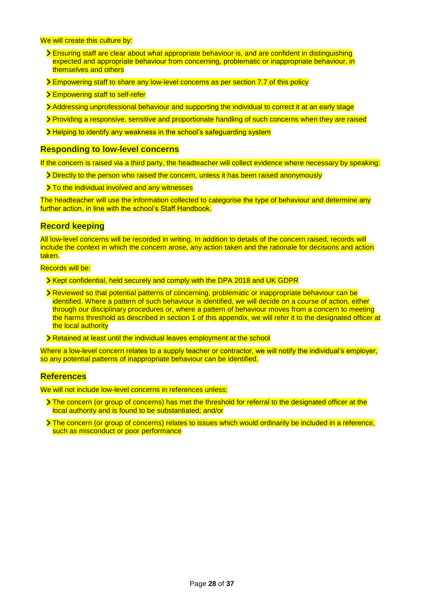We will create this culture by:

- Ensuring staff are clear about what appropriate behaviour is, and are confident in distinguishing expected and appropriate behaviour from concerning, problematic or inappropriate behaviour, in themselves and others
- **Empowering staff to share any low-level concerns as per section 7.7 of this policy**
- **> Empowering staff to self-refer**
- Addressing unprofessional behaviour and supporting the individual to correct it at an early stage
- Providing a responsive, sensitive and proportionate handling of such concerns when they are raised
- **> Helping to identify any weakness in the school's safeguarding system**

#### **Responding to low-level concerns**

If the concern is raised via a third party, the headteacher will collect evidence where necessary by speaking:

- Directly to the person who raised the concern, unless it has been raised anonymously
- To the individual involved and any witnesses

The headteacher will use the information collected to categorise the type of behaviour and determine any further action, in line with the school's Staff Handbook.

### **Record keeping**

All low-level concerns will be recorded in writing. In addition to details of the concern raised, records will include the context in which the concern arose, any action taken and the rationale for decisions and action taken.

#### Records will be:

- Xept confidential, held securely and comply with the DPA 2018 and UK GDPR
- Reviewed so that potential patterns of concerning, problematic or inappropriate behaviour can be identified. Where a pattern of such behaviour is identified, we will decide on a course of action, either through our disciplinary procedures or, where a pattern of behaviour moves from a concern to meeting the harms threshold as described in section 1 of this appendix, we will refer it to the designated officer at the local authority
- Retained at least until the individual leaves employment at the school

Where a low-level concern relates to a supply teacher or contractor, we will notify the individual's employer, so any potential patterns of inappropriate behaviour can be identified.

#### **References**

We will not include low-level concerns in references unless:

- The concern (or group of concerns) has met the threshold for referral to the designated officer at the local authority and is found to be substantiated; and/or
- The concern (or group of concerns) relates to issues which would ordinarily be included in a reference, such as misconduct or poor performance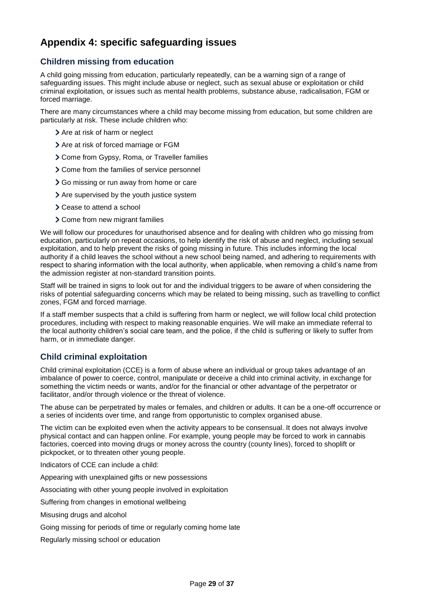# <span id="page-28-0"></span>**Appendix 4: specific safeguarding issues**

# **Children missing from education**

A child going missing from education, particularly repeatedly, can be a warning sign of a range of safeguarding issues. This might include abuse or neglect, such as sexual abuse or exploitation or child criminal exploitation, or issues such as mental health problems, substance abuse, radicalisation, FGM or forced marriage.

There are many circumstances where a child may become missing from education, but some children are particularly at risk. These include children who:

- > Are at risk of harm or neglect
- > Are at risk of forced marriage or FGM
- Come from Gypsy, Roma, or Traveller families
- > Come from the families of service personnel
- > Go missing or run away from home or care
- Are supervised by the youth justice system
- > Cease to attend a school
- > Come from new migrant families

We will follow our procedures for unauthorised absence and for dealing with children who go missing from education, particularly on repeat occasions, to help identify the risk of abuse and neglect, including sexual exploitation, and to help prevent the risks of going missing in future. This includes informing the local authority if a child leaves the school without a new school being named, and adhering to requirements with respect to sharing information with the local authority, when applicable, when removing a child's name from the admission register at non-standard transition points.

Staff will be trained in signs to look out for and the individual triggers to be aware of when considering the risks of potential safeguarding concerns which may be related to being missing, such as travelling to conflict zones, FGM and forced marriage.

If a staff member suspects that a child is suffering from harm or neglect, we will follow local child protection procedures, including with respect to making reasonable enquiries. We will make an immediate referral to the local authority children's social care team, and the police, if the child is suffering or likely to suffer from harm, or in immediate danger.

# **Child criminal exploitation**

Child criminal exploitation (CCE) is a form of abuse where an individual or group takes advantage of an imbalance of power to coerce, control, manipulate or deceive a child into criminal activity, in exchange for something the victim needs or wants, and/or for the financial or other advantage of the perpetrator or facilitator, and/or through violence or the threat of violence.

The abuse can be perpetrated by males or females, and children or adults. It can be a one-off occurrence or a series of incidents over time, and range from opportunistic to complex organised abuse.

The victim can be exploited even when the activity appears to be consensual. It does not always involve physical contact and can happen online. For example, young people may be forced to work in cannabis factories, coerced into moving drugs or money across the country (county lines), forced to shoplift or pickpocket, or to threaten other young people.

Indicators of CCE can include a child:

Appearing with unexplained gifts or new possessions

Associating with other young people involved in exploitation

Suffering from changes in emotional wellbeing

Misusing drugs and alcohol

Going missing for periods of time or regularly coming home late

Regularly missing school or education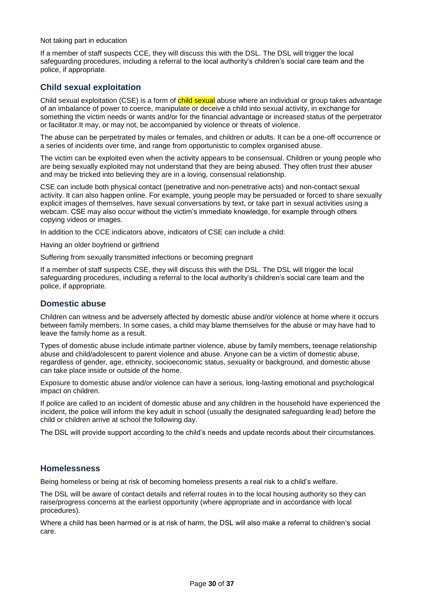Not taking part in education

If a member of staff suspects CCE, they will discuss this with the DSL. The DSL will trigger the local safeguarding procedures, including a referral to the local authority's children's social care team and the police, if appropriate.

# **Child sexual exploitation**

Child sexual exploitation (CSE) is a form of child sexual abuse where an individual or group takes advantage of an imbalance of power to coerce, manipulate or deceive a child into sexual activity, in exchange for something the victim needs or wants and/or for the financial advantage or increased status of the perpetrator or facilitator.It may, or may not, be accompanied by violence or threats of violence.

The abuse can be perpetrated by males or females, and children or adults. It can be a one-off occurrence or a series of incidents over time, and range from opportunistic to complex organised abuse.

The victim can be exploited even when the activity appears to be consensual. Children or young people who are being sexually exploited may not understand that they are being abused. They often trust their abuser and may be tricked into believing they are in a loving, consensual relationship.

CSE can include both physical contact (penetrative and non-penetrative acts) and non-contact sexual activity. It can also happen online. For example, young people may be persuaded or forced to share sexually explicit images of themselves, have sexual conversations by text, or take part in sexual activities using a webcam. CSE may also occur without the victim's immediate knowledge, for example through others copying videos or images.

In addition to the CCE indicators above, indicators of CSE can include a child:

Having an older boyfriend or girlfriend

Suffering from sexually transmitted infections or becoming pregnant

If a member of staff suspects CSE, they will discuss this with the DSL. The DSL will trigger the local safeguarding procedures, including a referral to the local authority's children's social care team and the police, if appropriate.

# **Domestic abuse**

Children can witness and be adversely affected by domestic abuse and/or violence at home where it occurs between family members. In some cases, a child may blame themselves for the abuse or may have had to leave the family home as a result.

Types of domestic abuse include intimate partner violence, abuse by family members, teenage relationship abuse and child/adolescent to parent violence and abuse. Anyone can be a victim of domestic abuse, regardless of gender, age, ethnicity, socioeconomic status, sexuality or background, and domestic abuse can take place inside or outside of the home.

Exposure to domestic abuse and/or violence can have a serious, long-lasting emotional and psychological impact on children.

If police are called to an incident of domestic abuse and any children in the household have experienced the incident, the police will inform the key adult in school (usually the designated safeguarding lead) before the child or children arrive at school the following day.

The DSL will provide support according to the child's needs and update records about their circumstances.

# **Homelessness**

Being homeless or being at risk of becoming homeless presents a real risk to a child's welfare.

The DSL will be aware of contact details and referral routes in to the local housing authority so they can raise/progress concerns at the earliest opportunity (where appropriate and in accordance with local procedures).

Where a child has been harmed or is at risk of harm, the DSL will also make a referral to children's social care.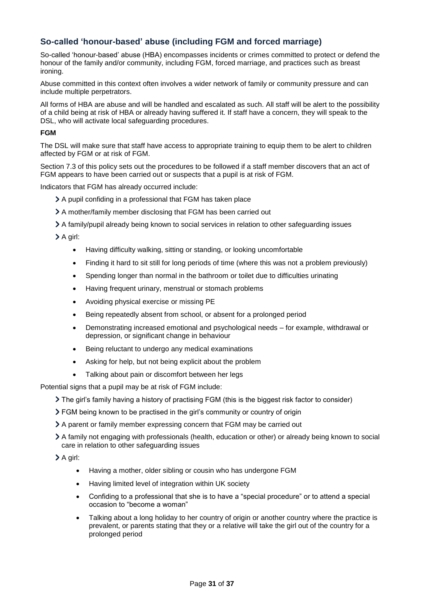# **So-called 'honour-based' abuse (including FGM and forced marriage)**

So-called 'honour-based' abuse (HBA) encompasses incidents or crimes committed to protect or defend the honour of the family and/or community, including FGM, forced marriage, and practices such as breast ironing.

Abuse committed in this context often involves a wider network of family or community pressure and can include multiple perpetrators.

All forms of HBA are abuse and will be handled and escalated as such. All staff will be alert to the possibility of a child being at risk of HBA or already having suffered it. If staff have a concern, they will speak to the DSL, who will activate local safeguarding procedures.

#### **FGM**

The DSL will make sure that staff have access to appropriate training to equip them to be alert to children affected by FGM or at risk of FGM.

Section 7.3 of this policy sets out the procedures to be followed if a staff member discovers that an act of FGM appears to have been carried out or suspects that a pupil is at risk of FGM.

Indicators that FGM has already occurred include:

- A pupil confiding in a professional that FGM has taken place
- A mother/family member disclosing that FGM has been carried out
- A family/pupil already being known to social services in relation to other safeguarding issues
- A girl:
	- Having difficulty walking, sitting or standing, or looking uncomfortable
	- Finding it hard to sit still for long periods of time (where this was not a problem previously)
	- Spending longer than normal in the bathroom or toilet due to difficulties urinating
	- Having frequent urinary, menstrual or stomach problems
	- Avoiding physical exercise or missing PE
	- Being repeatedly absent from school, or absent for a prolonged period
	- Demonstrating increased emotional and psychological needs for example, withdrawal or depression, or significant change in behaviour
	- Being reluctant to undergo any medical examinations
	- Asking for help, but not being explicit about the problem
	- Talking about pain or discomfort between her legs

Potential signs that a pupil may be at risk of FGM include:

- The girl's family having a history of practising FGM (this is the biggest risk factor to consider)
- FGM being known to be practised in the girl's community or country of origin
- A parent or family member expressing concern that FGM may be carried out
- A family not engaging with professionals (health, education or other) or already being known to social care in relation to other safeguarding issues
- > A girl:
	- Having a mother, older sibling or cousin who has undergone FGM
	- Having limited level of integration within UK society
	- Confiding to a professional that she is to have a "special procedure" or to attend a special occasion to "become a woman"
	- Talking about a long holiday to her country of origin or another country where the practice is prevalent, or parents stating that they or a relative will take the girl out of the country for a prolonged period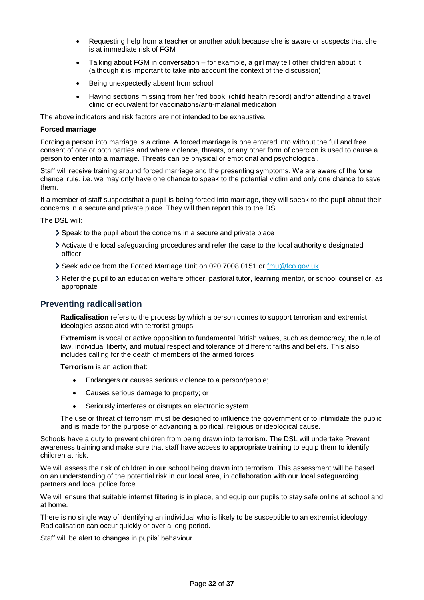- Requesting help from a teacher or another adult because she is aware or suspects that she is at immediate risk of FGM
- Talking about FGM in conversation for example, a girl may tell other children about it (although it is important to take into account the context of the discussion)
- Being unexpectedly absent from school
- Having sections missing from her 'red book' (child health record) and/or attending a travel clinic or equivalent for vaccinations/anti-malarial medication

The above indicators and risk factors are not intended to be exhaustive.

#### **Forced marriage**

Forcing a person into marriage is a crime. A forced marriage is one entered into without the full and free consent of one or both parties and where violence, threats, or any other form of coercion is used to cause a person to enter into a marriage. Threats can be physical or emotional and psychological.

Staff will receive training around forced marriage and the presenting symptoms. We are aware of the 'one chance' rule, i.e. we may only have one chance to speak to the potential victim and only one chance to save them.

If a member of staff suspectsthat a pupil is being forced into marriage, they will speak to the pupil about their concerns in a secure and private place. They will then report this to the DSL.

The DSL will:

- Speak to the pupil about the concerns in a secure and private place
- Activate the local safeguarding procedures and refer the case to the local authority's designated officer
- Seek advice from the Forced Marriage Unit on 020 7008 0151 or [fmu@fco.gov.uk](mailto:fmu@fco.gov.uk)
- Refer the pupil to an education welfare officer, pastoral tutor, learning mentor, or school counsellor, as appropriate

#### **Preventing radicalisation**

**Radicalisation** refers to the process by which a person comes to support terrorism and extremist ideologies associated with terrorist groups

**Extremism** is vocal or active opposition to fundamental British values, such as democracy, the rule of law, individual liberty, and mutual respect and tolerance of different faiths and beliefs. This also includes calling for the death of members of the armed forces

**Terrorism** is an action that:

- Endangers or causes serious violence to a person/people;
- Causes serious damage to property; or
- Seriously interferes or disrupts an electronic system

The use or threat of terrorism must be designed to influence the government or to intimidate the public and is made for the purpose of advancing a political, religious or ideological cause.

Schools have a duty to prevent children from being drawn into terrorism. The DSL will undertake Prevent awareness training and make sure that staff have access to appropriate training to equip them to identify children at risk.

We will assess the risk of children in our school being drawn into terrorism. This assessment will be based on an understanding of the potential risk in our local area, in collaboration with our local safeguarding partners and local police force.

We will ensure that suitable internet filtering is in place, and equip our pupils to stay safe online at school and at home.

There is no single way of identifying an individual who is likely to be susceptible to an extremist ideology. Radicalisation can occur quickly or over a long period.

Staff will be alert to changes in pupils' behaviour.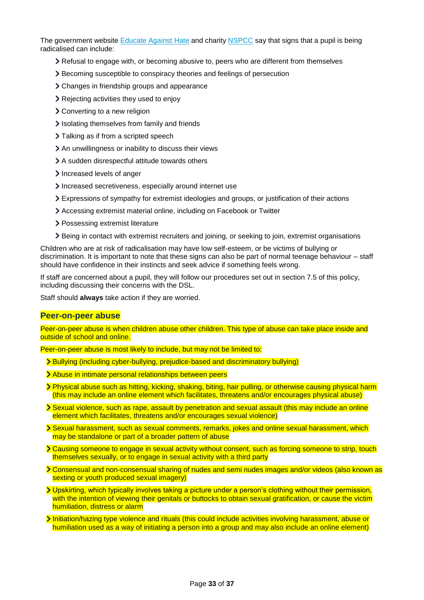The government website [Educate Against](http://educateagainsthate.com/parents/what-are-the-warning-signs/) Hate and charity [NSPCC](https://www.nspcc.org.uk/what-you-can-do/report-abuse/dedicated-helplines/protecting-children-from-radicalisation/) say that signs that a pupil is being radicalised can include:

- Refusal to engage with, or becoming abusive to, peers who are different from themselves
- Becoming susceptible to conspiracy theories and feelings of persecution
- Changes in friendship groups and appearance
- > Rejecting activities they used to enjoy
- Converting to a new religion
- Isolating themselves from family and friends
- > Talking as if from a scripted speech
- An unwillingness or inability to discuss their views
- A sudden disrespectful attitude towards others
- Increased levels of anger
- Increased secretiveness, especially around internet use
- Expressions of sympathy for extremist ideologies and groups, or justification of their actions
- Accessing extremist material online, including on Facebook or Twitter
- Possessing extremist literature
- Being in contact with extremist recruiters and joining, or seeking to join, extremist organisations

Children who are at risk of radicalisation may have low self-esteem, or be victims of bullying or discrimination. It is important to note that these signs can also be part of normal teenage behaviour – staff should have confidence in their instincts and seek advice if something feels wrong.

If staff are concerned about a pupil, they will follow our procedures set out in section 7.5 of this policy, including discussing their concerns with the DSL.

Staff should **always** take action if they are worried.

#### **Peer-on-peer abuse**

Peer-on-peer abuse is when children abuse other children. This type of abuse can take place inside and outside of school and online.

Peer-on-peer abuse is most likely to include, but may not be limited to:

- > Bullying (including cyber-bullying, prejudice-based and discriminatory bullying)
- Abuse in intimate personal relationships between peers
- > Physical abuse such as hitting, kicking, shaking, biting, hair pulling, or otherwise causing physical harm (this may include an online element which facilitates, threatens and/or encourages physical abuse)
- Sexual violence, such as rape, assault by penetration and sexual assault (this may include an online element which facilitates, threatens and/or encourages sexual violence)
- Sexual harassment, such as sexual comments, remarks, jokes and online sexual harassment, which may be standalone or part of a broader pattern of abuse
- Causing someone to engage in sexual activity without consent, such as forcing someone to strip, touch themselves sexually, or to engage in sexual activity with a third party
- Consensual and non-consensual sharing of nudes and semi nudes images and/or videos (also known as sexting or youth produced sexual imagery)
- Upskirting, which typically involves taking a picture under a person's clothing without their permission, with the intention of viewing their genitals or buttocks to obtain sexual gratification, or cause the victim humiliation, distress or alarm
- Initiation/hazing type violence and rituals (this could include activities involving harassment, abuse or humiliation used as a way of initiating a person into a group and may also include an online element)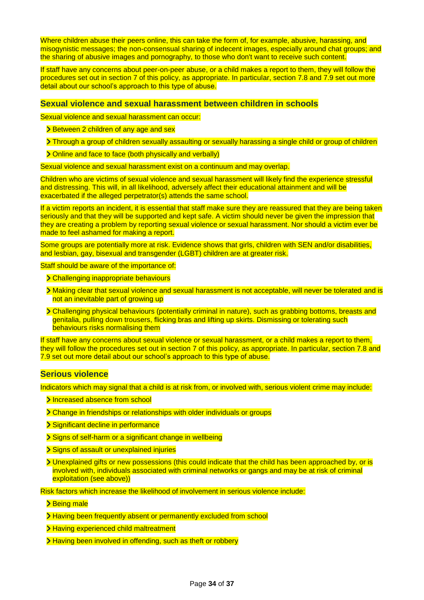Where children abuse their peers online, this can take the form of, for example, abusive, harassing, and misogynistic messages; the non-consensual sharing of indecent images, especially around chat groups; and the sharing of abusive images and pornography, to those who don't want to receive such content.

If staff have any concerns about peer-on-peer abuse, or a child makes a report to them, they will follow the procedures set out in section 7 of this policy, as appropriate. In particular, section 7.8 and 7.9 set out more detail about our school's approach to this type of abuse.

### **Sexual violence and sexual harassment between children in schools**

Sexual violence and sexual harassment can occur:

- **>** Between 2 children of any age and sex
- Through a group of children sexually assaulting or sexually harassing a single child or group of children
- Online and face to face (both physically and verbally)

Sexual violence and sexual harassment exist on a continuum and may overlap.

Children who are victims of sexual violence and sexual harassment will likely find the experience stressful and distressing. This will, in all likelihood, adversely affect their educational attainment and will be exacerbated if the alleged perpetrator(s) attends the same school.

If a victim reports an incident, it is essential that staff make sure they are reassured that they are being taken seriously and that they will be supported and kept safe. A victim should never be given the impression that they are creating a problem by reporting sexual violence or sexual harassment. Nor should a victim ever be made to feel ashamed for making a report.

Some groups are potentially more at risk. Evidence shows that girls, children with SEN and/or disabilities, and lesbian, gay, bisexual and transgender (LGBT) children are at greater risk.

Staff should be aware of the importance of:

- **> Challenging inappropriate behaviours**
- > Making clear that sexual violence and sexual harassment is not acceptable, will never be tolerated and is not an inevitable part of growing up
- Challenging physical behaviours (potentially criminal in nature), such as grabbing bottoms, breasts and genitalia, pulling down trousers, flicking bras and lifting up skirts. Dismissing or tolerating such behaviours risks normalising them

If staff have any concerns about sexual violence or sexual harassment, or a child makes a report to them, they will follow the procedures set out in section 7 of this policy, as appropriate. In particular, section 7.8 and 7.9 set out more detail about our school's approach to this type of abuse.

#### **Serious violence**

Indicators which may signal that a child is at risk from, or involved with, serious violent crime may include:

- > Increased absence from school
- Change in friendships or relationships with older individuals or groups
- > Significant decline in performance
- Signs of self-harm or a significant change in wellbeing
- **> Signs of assault or unexplained injuries**
- Unexplained gifts or new possessions (this could indicate that the child has been approached by, or is involved with, individuals associated with criminal networks or gangs and may be at risk of criminal exploitation (see above))

Risk factors which increase the likelihood of involvement in serious violence include:

- > Being male
- > Having been frequently absent or permanently excluded from school
- > Having experienced child maltreatment
- > Having been involved in offending, such as theft or robbery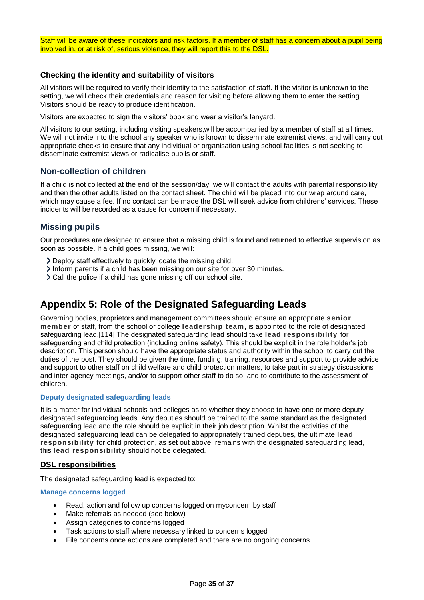Staff will be aware of these indicators and risk factors. If a member of staff has a concern about a pupil being involved in, or at risk of, serious violence, they will report this to the DSL.

### **Checking the identity and suitability of visitors**

All visitors will be required to verify their identity to the satisfaction of staff. If the visitor is unknown to the setting, we will check their credentials and reason for visiting before allowing them to enter the setting. Visitors should be ready to produce identification.

Visitors are expected to sign the visitors' book and wear a visitor's lanyard.

All visitors to our setting, including visiting speakers,will be accompanied by a member of staff at all times. We will not invite into the school any speaker who is known to disseminate extremist views, and will carry out appropriate checks to ensure that any individual or organisation using school facilities is not seeking to disseminate extremist views or radicalise pupils or staff.

# **Non-collection of children**

If a child is not collected at the end of the session/day, we will contact the adults with parental responsibility and then the other adults listed on the contact sheet. The child will be placed into our wrap around care, which may cause a fee. If no contact can be made the DSL will seek advice from childrens' services. These incidents will be recorded as a cause for concern if necessary.

# **Missing pupils**

Our procedures are designed to ensure that a missing child is found and returned to effective supervision as soon as possible. If a child goes missing, we will:

- Deploy staff effectively to quickly locate the missing child.
- Inform parents if a child has been missing on our site for over 30 minutes.
- Call the police if a child has gone missing off our school site.

# <span id="page-34-0"></span>**Appendix 5: Role of the Designated Safeguarding Leads**

Governing bodies, proprietors and management committees should ensure an appropriate **senior member** of staff, from the school or college **leadership team**, is appointed to the role of designated safeguarding lead.[114] The designated safeguarding lead should take **lead responsibility** for safeguarding and child protection (including online safety). This should be explicit in the role holder's job description. This person should have the appropriate status and authority within the school to carry out the duties of the post. They should be given the time, funding, training, resources and support to provide advice and support to other staff on child welfare and child protection matters, to take part in strategy discussions and inter-agency meetings, and/or to support other staff to do so, and to contribute to the assessment of children.

#### **Deputy designated safeguarding leads**

It is a matter for individual schools and colleges as to whether they choose to have one or more deputy designated safeguarding leads. Any deputies should be trained to the same standard as the designated safeguarding lead and the role should be explicit in their job description. Whilst the activities of the designated safeguarding lead can be delegated to appropriately trained deputies, the ultimate **lead responsibility** for child protection, as set out above, remains with the designated safeguarding lead, this **lead responsibility** should not be delegated.

#### **DSL responsibilities**

The designated safeguarding lead is expected to:

#### **Manage concerns logged**

- Read, action and follow up concerns logged on myconcern by staff
- Make referrals as needed (see below)
- Assign categories to concerns logged
- Task actions to staff where necessary linked to concerns logged
- File concerns once actions are completed and there are no ongoing concerns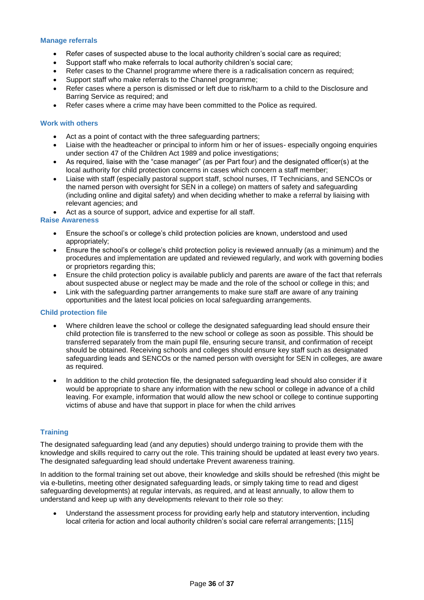#### **Manage referrals**

- Refer cases of suspected abuse to the local authority children's social care as required;
- Support staff who make referrals to local authority children's social care;
- Refer cases to the Channel programme where there is a radicalisation concern as required;
- Support staff who make referrals to the Channel programme;
- Refer cases where a person is dismissed or left due to risk/harm to a child to the Disclosure and Barring Service as required; and
- Refer cases where a crime may have been committed to the Police as required.

# **Work with others**

- Act as a point of contact with the three safeguarding partners;
- Liaise with the headteacher or principal to inform him or her of issues- especially ongoing enquiries under section 47 of the Children Act 1989 and police investigations;
- As required, liaise with the "case manager" (as per Part four) and the designated officer(s) at the local authority for child protection concerns in cases which concern a staff member;
- Liaise with staff (especially pastoral support staff, school nurses, IT Technicians, and SENCOs or the named person with oversight for SEN in a college) on matters of safety and safeguarding (including online and digital safety) and when deciding whether to make a referral by liaising with relevant agencies; and
- Act as a source of support, advice and expertise for all staff.

#### **Raise Awareness**

- Ensure the school's or college's child protection policies are known, understood and used appropriately;
- Ensure the school's or college's child protection policy is reviewed annually (as a minimum) and the procedures and implementation are updated and reviewed regularly, and work with governing bodies or proprietors regarding this;
- Ensure the child protection policy is available publicly and parents are aware of the fact that referrals about suspected abuse or neglect may be made and the role of the school or college in this; and
- Link with the safeguarding partner arrangements to make sure staff are aware of any training opportunities and the latest local policies on local safeguarding arrangements.

#### **Child protection file**

- Where children leave the school or college the designated safeguarding lead should ensure their child protection file is transferred to the new school or college as soon as possible. This should be transferred separately from the main pupil file, ensuring secure transit, and confirmation of receipt should be obtained. Receiving schools and colleges should ensure key staff such as designated safeguarding leads and SENCOs or the named person with oversight for SEN in colleges, are aware as required.
- In addition to the child protection file, the designated safeguarding lead should also consider if it would be appropriate to share any information with the new school or college in advance of a child leaving. For example, information that would allow the new school or college to continue supporting victims of abuse and have that support in place for when the child arrives

#### **Training**

The designated safeguarding lead (and any deputies) should undergo training to provide them with the knowledge and skills required to carry out the role. This training should be updated at least every two years. The designated safeguarding lead should undertake Prevent awareness training.

In addition to the formal training set out above, their knowledge and skills should be refreshed (this might be via e-bulletins, meeting other designated safeguarding leads, or simply taking time to read and digest safeguarding developments) at regular intervals, as required, and at least annually, to allow them to understand and keep up with any developments relevant to their role so they:

 Understand the assessment process for providing early help and statutory intervention, including local criteria for action and local authority children's social care referral arrangements; [115]